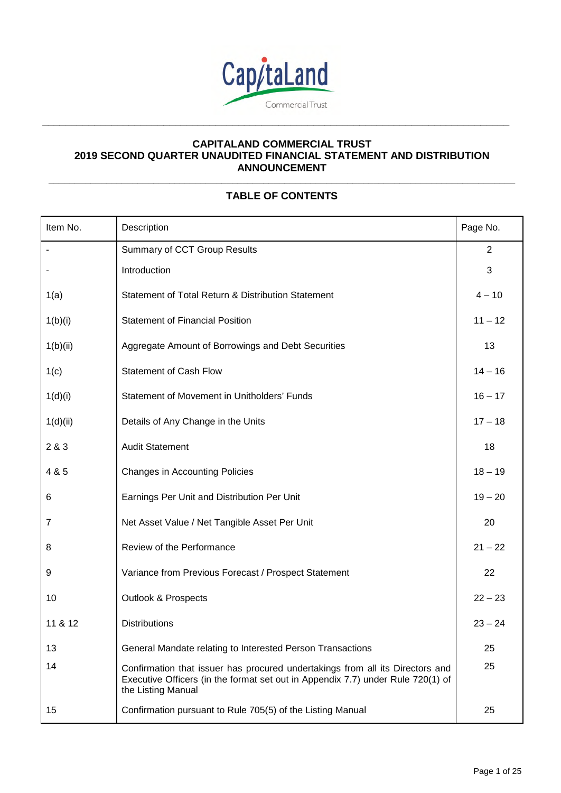

**\_\_\_\_\_\_\_\_\_\_\_\_\_\_\_\_\_\_\_\_\_\_\_\_\_\_\_\_\_\_\_\_\_\_\_\_\_\_\_\_\_\_\_\_\_\_\_\_\_\_\_\_\_\_\_\_\_\_\_\_\_\_\_\_\_\_\_\_\_\_\_\_\_\_\_\_\_\_\_\_\_** 

### **CAPITALAND COMMERCIAL TRUST 2019 SECOND QUARTER UNAUDITED FINANCIAL STATEMENT AND DISTRIBUTION ANNOUNCEMENT \_\_\_\_\_\_\_\_\_\_\_\_\_\_\_\_\_\_\_\_\_\_\_\_\_\_\_\_\_\_\_\_\_\_\_\_\_\_\_\_\_\_\_\_\_\_\_\_\_\_\_\_\_\_\_\_\_\_\_\_\_\_\_\_\_\_\_\_\_\_\_\_\_\_\_\_\_\_\_\_\_\_\_\_\_\_\_\_\_**

# **TABLE OF CONTENTS**

| Item No. | Description                                                                                                                                                                            | Page No.       |
|----------|----------------------------------------------------------------------------------------------------------------------------------------------------------------------------------------|----------------|
|          | Summary of CCT Group Results                                                                                                                                                           | $\overline{2}$ |
|          | Introduction                                                                                                                                                                           | 3              |
| 1(a)     | Statement of Total Return & Distribution Statement                                                                                                                                     | $4 - 10$       |
| 1(b)(i)  | <b>Statement of Financial Position</b>                                                                                                                                                 | $11 - 12$      |
| 1(b)(ii) | Aggregate Amount of Borrowings and Debt Securities                                                                                                                                     | 13             |
| 1(c)     | <b>Statement of Cash Flow</b>                                                                                                                                                          | $14 - 16$      |
| 1(d)(i)  | Statement of Movement in Unitholders' Funds                                                                                                                                            | $16 - 17$      |
| 1(d)(ii) | Details of Any Change in the Units                                                                                                                                                     | $17 - 18$      |
| 2 & 3    | <b>Audit Statement</b>                                                                                                                                                                 | 18             |
| 4 & 5    | <b>Changes in Accounting Policies</b>                                                                                                                                                  | $18 - 19$      |
| 6        | Earnings Per Unit and Distribution Per Unit                                                                                                                                            | $19 - 20$      |
| 7        | Net Asset Value / Net Tangible Asset Per Unit                                                                                                                                          | 20             |
| 8        | Review of the Performance                                                                                                                                                              | $21 - 22$      |
| 9        | Variance from Previous Forecast / Prospect Statement                                                                                                                                   | 22             |
| 10       | <b>Outlook &amp; Prospects</b>                                                                                                                                                         | $22 - 23$      |
| 11 & 12  | <b>Distributions</b>                                                                                                                                                                   | $23 - 24$      |
| 13       | General Mandate relating to Interested Person Transactions                                                                                                                             | 25             |
| 14       | Confirmation that issuer has procured undertakings from all its Directors and<br>Executive Officers (in the format set out in Appendix 7.7) under Rule 720(1) of<br>the Listing Manual | 25             |
| 15       | Confirmation pursuant to Rule 705(5) of the Listing Manual                                                                                                                             | 25             |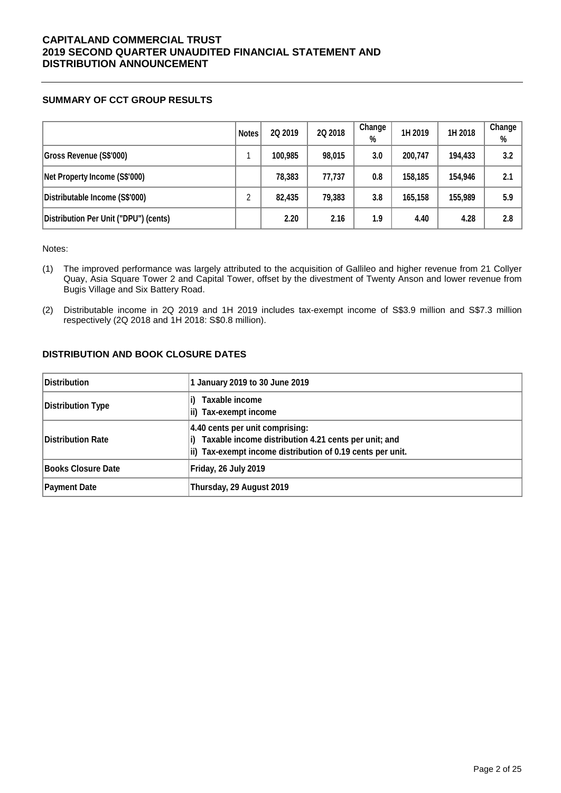### **SUMMARY OF CCT GROUP RESULTS**

|                                       | <b>Notes</b> | 2Q 2019 | 2Q 2018 | Change<br>% | 1H 2019 | 1H 2018 | Change<br>% |
|---------------------------------------|--------------|---------|---------|-------------|---------|---------|-------------|
| Gross Revenue (S\$'000)               |              | 100,985 | 98,015  | 3.0         | 200.747 | 194,433 | 3.2         |
| Net Property Income (S\$'000)         |              | 78,383  | 77,737  | 0.8         | 158,185 | 154,946 | 2.1         |
| Distributable Income (S\$'000)        | ∩            | 82.435  | 79,383  | 3.8         | 165,158 | 155,989 | 5.9         |
| Distribution Per Unit ("DPU") (cents) |              | 2.20    | 2.16    | 1.9         | 4.40    | 4.28    | 2.8         |

Notes:

- (1) The improved performance was largely attributed to the acquisition of Gallileo and higher revenue from 21 Collyer Quay, Asia Square Tower 2 and Capital Tower, offset by the divestment of Twenty Anson and lower revenue from Bugis Village and Six Battery Road.
- (2) Distributable income in 2Q 2019 and 1H 2019 includes tax-exempt income of S\$3.9 million and S\$7.3 million respectively (2Q 2018 and 1H 2018: S\$0.8 million).

### **DISTRIBUTION AND BOOK CLOSURE DATES**

| <b>Distribution</b> | 1 January 2019 to 30 June 2019                                                                                                                        |  |
|---------------------|-------------------------------------------------------------------------------------------------------------------------------------------------------|--|
| Distribution Type   | Taxable income<br>ii) Tax-exempt income                                                                                                               |  |
| Distribution Rate   | 4.40 cents per unit comprising:<br>Taxable income distribution 4.21 cents per unit; and<br>ii) Tax-exempt income distribution of 0.19 cents per unit. |  |
| Books Closure Date  | Friday, 26 July 2019                                                                                                                                  |  |
| <b>Payment Date</b> | Thursday, 29 August 2019                                                                                                                              |  |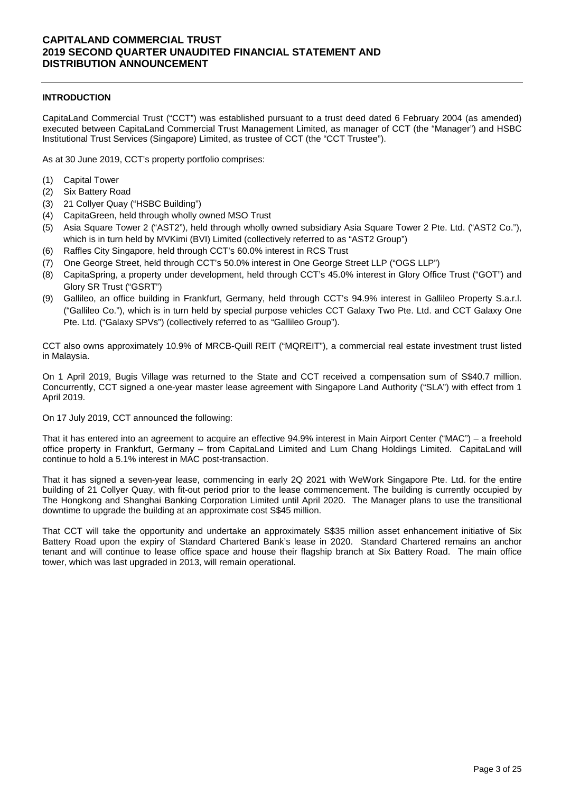### **INTRODUCTION**

CapitaLand Commercial Trust ("CCT") was established pursuant to a trust deed dated 6 February 2004 (as amended) executed between CapitaLand Commercial Trust Management Limited, as manager of CCT (the "Manager") and HSBC Institutional Trust Services (Singapore) Limited, as trustee of CCT (the "CCT Trustee").

As at 30 June 2019, CCT's property portfolio comprises:

- (1) Capital Tower
- (2) Six Battery Road
- (3) 21 Collyer Quay ("HSBC Building")
- (4) CapitaGreen, held through wholly owned MSO Trust
- (5) Asia Square Tower 2 ("AST2"), held through wholly owned subsidiary Asia Square Tower 2 Pte. Ltd. ("AST2 Co."), which is in turn held by MVKimi (BVI) Limited (collectively referred to as "AST2 Group")
- (6) Raffles City Singapore, held through CCT's 60.0% interest in RCS Trust
- (7) One George Street, held through CCT's 50.0% interest in One George Street LLP ("OGS LLP")
- (8) CapitaSpring, a property under development, held through CCT's 45.0% interest in Glory Office Trust ("GOT") and Glory SR Trust ("GSRT")
- (9) Gallileo, an office building in Frankfurt, Germany, held through CCT's 94.9% interest in Gallileo Property S.a.r.l. ("Gallileo Co."), which is in turn held by special purpose vehicles CCT Galaxy Two Pte. Ltd. and CCT Galaxy One Pte. Ltd. ("Galaxy SPVs") (collectively referred to as "Gallileo Group").

CCT also owns approximately 10.9% of MRCB-Quill REIT ("MQREIT"), a commercial real estate investment trust listed in Malaysia.

On 1 April 2019, Bugis Village was returned to the State and CCT received a compensation sum of S\$40.7 million. Concurrently, CCT signed a one-year master lease agreement with Singapore Land Authority ("SLA") with effect from 1 April 2019.

On 17 July 2019, CCT announced the following:

That it has entered into an agreement to acquire an effective 94.9% interest in Main Airport Center ("MAC") – a freehold office property in Frankfurt, Germany – from CapitaLand Limited and Lum Chang Holdings Limited. CapitaLand will continue to hold a 5.1% interest in MAC post-transaction.

That it has signed a seven-year lease, commencing in early 2Q 2021 with WeWork Singapore Pte. Ltd. for the entire building of 21 Collyer Quay, with fit-out period prior to the lease commencement. The building is currently occupied by The Hongkong and Shanghai Banking Corporation Limited until April 2020. The Manager plans to use the transitional downtime to upgrade the building at an approximate cost S\$45 million.

That CCT will take the opportunity and undertake an approximately S\$35 million asset enhancement initiative of Six Battery Road upon the expiry of Standard Chartered Bank's lease in 2020. Standard Chartered remains an anchor tenant and will continue to lease office space and house their flagship branch at Six Battery Road. The main office tower, which was last upgraded in 2013, will remain operational.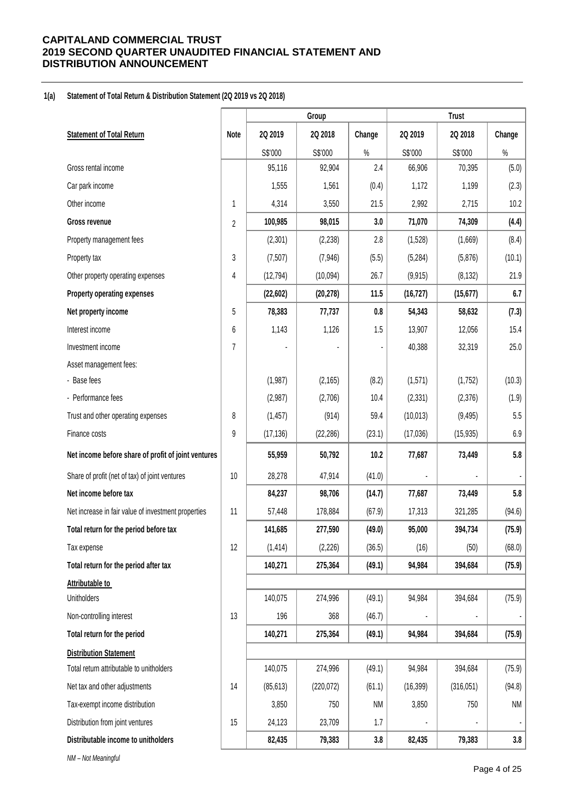#### **1(a) Statement of Total Return & Distribution Statement (2Q 2019 vs 2Q 2018)**

|                                                     |      |           | Group      |           |           | <b>Trust</b> |        |
|-----------------------------------------------------|------|-----------|------------|-----------|-----------|--------------|--------|
| <b>Statement of Total Return</b>                    | Note | 2Q 2019   | 2Q 2018    | Change    | 2Q 2019   | 2Q 2018      | Change |
|                                                     |      | S\$'000   | S\$'000    | $\%$      | S\$'000   | S\$'000      | $\%$   |
| Gross rental income                                 |      | 95,116    | 92,904     | 2.4       | 66,906    | 70,395       | (5.0)  |
| Car park income                                     |      | 1,555     | 1,561      | (0.4)     | 1,172     | 1,199        | (2.3)  |
| Other income                                        | 1    | 4,314     | 3,550      | 21.5      | 2,992     | 2,715        | 10.2   |
| Gross revenue                                       | 2    | 100,985   | 98,015     | 3.0       | 71,070    | 74,309       | (4.4)  |
| Property management fees                            |      | (2,301)   | (2, 238)   | 2.8       | (1,528)   | (1,669)      | (8.4)  |
| Property tax                                        | 3    | (7, 507)  | (7, 946)   | (5.5)     | (5, 284)  | (5,876)      | (10.1) |
| Other property operating expenses                   | 4    | (12, 794) | (10,094)   | 26.7      | (9, 915)  | (8, 132)     | 21.9   |
| <b>Property operating expenses</b>                  |      | (22, 602) | (20, 278)  | 11.5      | (16, 727) | (15, 677)    | 6.7    |
| Net property income                                 | 5    | 78,383    | 77,737     | 0.8       | 54,343    | 58,632       | (7.3)  |
| Interest income                                     | 6    | 1,143     | 1,126      | 1.5       | 13,907    | 12,056       | 15.4   |
| Investment income                                   | 7    |           |            |           | 40,388    | 32,319       | 25.0   |
| Asset management fees:                              |      |           |            |           |           |              |        |
| - Base fees                                         |      | (1,987)   | (2, 165)   | (8.2)     | (1,571)   | (1,752)      | (10.3) |
| - Performance fees                                  |      | (2,987)   | (2,706)    | 10.4      | (2, 331)  | (2,376)      | (1.9)  |
| Trust and other operating expenses                  | 8    | (1, 457)  | (914)      | 59.4      | (10, 013) | (9, 495)     | 5.5    |
| Finance costs                                       | 9    | (17, 136) | (22, 286)  | (23.1)    | (17,036)  | (15, 935)    | 6.9    |
| Net income before share of profit of joint ventures |      | 55,959    | 50,792     | 10.2      | 77,687    | 73,449       | 5.8    |
| Share of profit (net of tax) of joint ventures      | 10   | 28,278    | 47,914     | (41.0)    |           |              |        |
| Net income before tax                               |      | 84,237    | 98,706     | (14.7)    | 77,687    | 73,449       | 5.8    |
| Net increase in fair value of investment properties | 11   | 57,448    | 178,884    | (67.9)    | 17,313    | 321,285      | (94.6) |
| Total return for the period before tax              |      | 141,685   | 277,590    | (49.0)    | 95,000    | 394,734      | (75.9) |
| Tax expense                                         | 12   | (1, 414)  | (2, 226)   | (36.5)    | (16)      | (50)         | (68.0) |
| Total return for the period after tax               |      | 140,271   | 275,364    | (49.1)    | 94,984    | 394,684      | (75.9) |
| Attributable to                                     |      |           |            |           |           |              |        |
| Unitholders                                         |      | 140,075   | 274,996    | (49.1)    | 94,984    | 394,684      | (75.9) |
| Non-controlling interest                            | 13   | 196       | 368        | (46.7)    |           |              |        |
| Total return for the period                         |      | 140,271   | 275,364    | (49.1)    | 94,984    | 394,684      | (75.9) |
| <b>Distribution Statement</b>                       |      |           |            |           |           |              |        |
| Total return attributable to unitholders            |      | 140,075   | 274,996    | (49.1)    | 94,984    | 394,684      | (75.9) |
| Net tax and other adjustments                       | 14   | (85, 613) | (220, 072) | (61.1)    | (16, 399) | (316, 051)   | (94.8) |
| Tax-exempt income distribution                      |      | 3,850     | 750        | <b>NM</b> | 3,850     | 750          | NM     |
| Distribution from joint ventures                    | 15   | 24,123    | 23,709     | 1.7       |           |              |        |
| Distributable income to unitholders                 |      | 82,435    | 79,383     | 3.8       | 82,435    | 79,383       | 3.8    |
| NM - Not Meaningful                                 |      |           |            |           |           |              |        |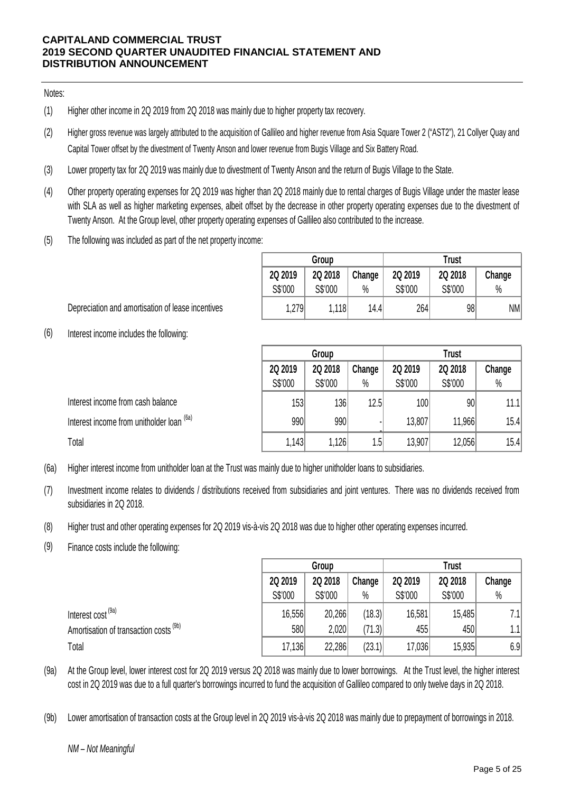### Notes:

- (1) Higher other income in 2Q 2019 from 2Q 2018 was mainly due to higher property tax recovery.
- (2) Higher gross revenue was largely attributed to the acquisition of Gallileo and higher revenue from Asia Square Tower 2 ("AST2"), 21 Collyer Quay and Capital Tower offset by the divestment of Twenty Anson and lower revenue from Bugis Village and Six Battery Road.
- (3) Lower property tax for 2Q 2019 was mainly due to divestment of Twenty Anson and the return of Bugis Village to the State.
- (4) Other property operating expenses for 2Q 2019 was higher than 2Q 2018 mainly due to rental charges of Bugis Village under the master lease with SLA as well as higher marketing expenses, albeit offset by the decrease in other property operating expenses due to the divestment of Twenty Anson. At the Group level, other property operating expenses of Gallileo also contributed to the increase.
- (5) The following was included as part of the net property income:

|         | Group   |        | <b>Trust</b> |         |        |  |  |  |
|---------|---------|--------|--------------|---------|--------|--|--|--|
| 2Q 2019 | 2Q 2018 | Change | 2Q 2019      | 2Q 2018 | Change |  |  |  |
| S\$'000 | S\$'000 | $\%$   | S\$'000      | S\$'000 | $\%$   |  |  |  |
| 1,279   | 1,118   | 14.4   | 264          | 98      | NM     |  |  |  |

Depreciation and amortisation of lease incentives

(6) Interest income includes the following:

|                                                      | Group   |         |        |         |         |        |
|------------------------------------------------------|---------|---------|--------|---------|---------|--------|
|                                                      | 2Q 2019 | 2Q 2018 | Change | 2Q 2019 | 2Q 2018 | Change |
|                                                      | S\$'000 | S\$'000 | $\%$   | S\$'000 | S\$'000 | $\%$   |
| Interest income from cash balance                    | 153     | 136     | 12.5   | 100     | 90      | 11.1   |
| Interest income from unitholder loan <sup>(6a)</sup> | 990     | 990     |        | 13,807  | 11,966  | 15.4   |
| Total                                                | 1,143   | 1,126   | 1.5    | 13,907  | 12,056  | 15.4   |

(6a) Higher interest income from unitholder loan at the Trust was mainly due to higher unitholder loans to subsidiaries.

- (7) Investment income relates to dividends / distributions received from subsidiaries and joint ventures. There was no dividends received from subsidiaries in 2Q 2018.
- (8) Higher trust and other operating expenses for 2Q 2019 vis-à-vis 2Q 2018 was due to higher other operating expenses incurred.
- (9) Finance costs include the following:

|                                        |         | Group   |        |         | <b>Trust</b> |        |  |  |
|----------------------------------------|---------|---------|--------|---------|--------------|--------|--|--|
|                                        | 2Q 2019 | 2Q 2018 | Change | 2Q 2019 | 2Q 2018      | Change |  |  |
|                                        | S\$'000 | S\$'000 | $\%$   | S\$'000 | S\$'000      | $\%$   |  |  |
| Interest cost <sup>(9a)</sup>          | 16,556  | 20,266  | (18.3) | 16,581  | 15,485       | 7.1    |  |  |
| Amortisation of transaction costs (9b) | 580     | 2,020   | (71.3) | 455     | 450          | 1.1    |  |  |
| Total                                  | 17,136  | 22,286  | (23.1) | 17,036  | 15,935       | 6.9    |  |  |

- (9a) At the Group level, lower interest cost for 2Q 2019 versus 2Q 2018 was mainly due to lower borrowings. At the Trust level, the higher interest cost in 2Q 2019 was due to a full quarter's borrowings incurred to fund the acquisition of Gallileo compared to only twelve days in 2Q 2018.
- (9b) Lower amortisation of transaction costs at the Group level in 2Q 2019 vis-à-vis 2Q 2018 was mainly due to prepayment of borrowings in 2018.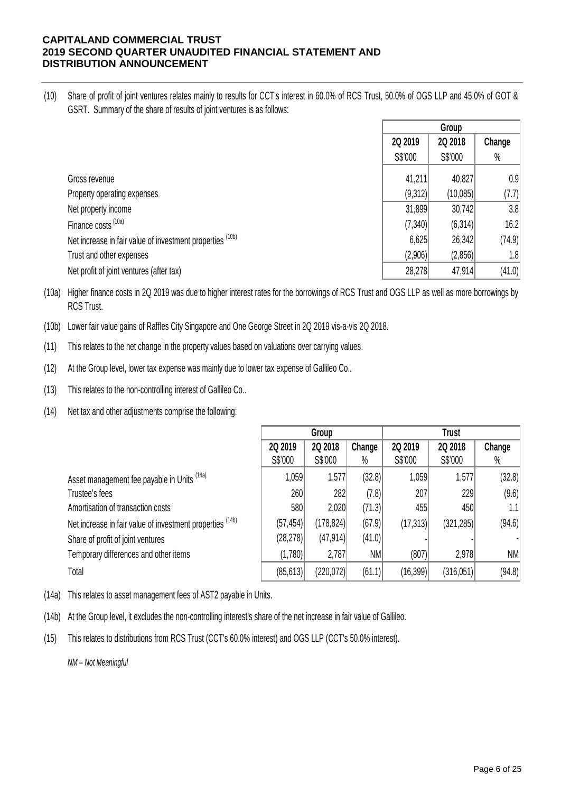(10) Share of profit of joint ventures relates mainly to results for CCT's interest in 60.0% of RCS Trust, 50.0% of OGS LLP and 45.0% of GOT & GSRT. Summary of the share of results of joint ventures is as follows:

|                                                                      |         | Group    |        |
|----------------------------------------------------------------------|---------|----------|--------|
|                                                                      | 2Q 2019 | 2Q 2018  | Change |
|                                                                      | S\$'000 | S\$'000  | $\%$   |
| Gross revenue                                                        | 41,211  | 40,827   | 0.9    |
| Property operating expenses                                          | (9,312) | (10,085) | (7.7)  |
| Net property income                                                  | 31,899  | 30,742   | 3.8    |
| Finance costs <sup>(10a)</sup>                                       | (7,340) | (6,314)  | 16.2   |
| Net increase in fair value of investment properties <sup>(10b)</sup> | 6,625   | 26,342   | (74.9) |
| Trust and other expenses                                             | (2,906) | (2,856)  | 1.8    |
| Net profit of joint ventures (after tax)                             | 28,278  | 47,914   | (41.0) |

(10a) Higher finance costs in 2Q 2019 was due to higher interest rates for the borrowings of RCS Trust and OGS LLP as well as more borrowings by RCS Trust.

- (10b) Lower fair value gains of Raffles City Singapore and One George Street in 2Q 2019 vis-a-vis 2Q 2018.
- (11) This relates to the net change in the property values based on valuations over carrying values.
- (12) At the Group level, lower tax expense was mainly due to lower tax expense of Gallileo Co..
- (13) This relates to the non-controlling interest of Gallileo Co..
- (14) Net tax and other adjustments comprise the following:

|                                                           | Group     |            |        |           |            |        |
|-----------------------------------------------------------|-----------|------------|--------|-----------|------------|--------|
|                                                           | 2Q 2019   | 2Q 2018    | Change | 2Q 2019   | 2Q 2018    | Change |
|                                                           | S\$'000   | S\$'000    | $\%$   | S\$'000   | S\$'000    | $\%$   |
| Asset management fee payable in Units (14a)               | 1,059     | 1,577      | (32.8) | 1,059     | 1,577      | (32.8) |
| Trustee's fees                                            | 260       | 282        | (7.8)  | 207       | 229        | (9.6)  |
| Amortisation of transaction costs                         | 580       | 2,020      | (71.3) | 455       | 450        | 1.1    |
| Net increase in fair value of investment properties (14b) | (57, 454) | (178, 824) | (67.9) | (17, 313) | (321, 285) | (94.6) |
| Share of profit of joint ventures                         | (28, 278) | (47, 914)  | (41.0) |           |            |        |
| Temporary differences and other items                     | (1,780)   | 2,787      | NM     | (807)     | 2,978      | NM     |
| Total                                                     | (85, 613) | (220, 072) | (61.1) | (16,399)  | (316, 051) | (94.8) |

(14a) This relates to asset management fees of AST2 payable in Units.

(14b) At the Group level, it excludes the non-controlling interest's share of the net increase in fair value of Gallileo.

(15) This relates to distributions from RCS Trust (CCT's 60.0% interest) and OGS LLP (CCT's 50.0% interest).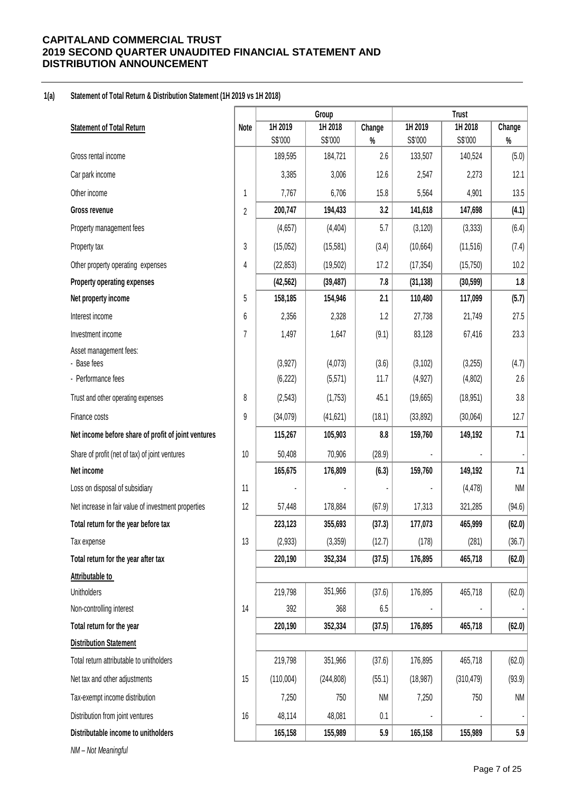#### **1(a) Statement of Total Return & Distribution Statement (1H 2019 vs 1H 2018)**

|                                                     |                | Group              |                    |             | <b>Trust</b>       |                    |               |
|-----------------------------------------------------|----------------|--------------------|--------------------|-------------|--------------------|--------------------|---------------|
| <b>Statement of Total Return</b>                    | Note           | 1H 2019            | 1H 2018            | Change      | 1H 2019            | 1H 2018            | Change        |
| Gross rental income                                 |                | S\$'000<br>189,595 | S\$'000<br>184,721 | $\%$<br>2.6 | S\$'000<br>133,507 | S\$'000<br>140,524 | $\%$<br>(5.0) |
|                                                     |                | 3,385              | 3,006              |             |                    | 2,273              | 12.1          |
| Car park income                                     |                |                    |                    | 12.6        | 2,547              |                    |               |
| Other income                                        | 1              | 7,767              | 6,706              | 15.8        | 5,564              | 4,901              | 13.5          |
| Gross revenue                                       | $\overline{2}$ | 200,747            | 194,433            | 3.2         | 141,618            | 147,698            | (4.1)         |
| Property management fees                            |                | (4,657)            | (4, 404)           | 5.7         | (3, 120)           | (3, 333)           | (6.4)         |
| Property tax                                        | 3              | (15,052)           | (15, 581)          | (3.4)       | (10, 664)          | (11, 516)          | (7.4)         |
| Other property operating expenses                   | 4              | (22, 853)          | (19, 502)          | 17.2        | (17, 354)          | (15, 750)          | 10.2          |
| Property operating expenses                         |                | (42, 562)          | (39, 487)          | 7.8         | (31, 138)          | (30, 599)          | 1.8           |
| Net property income                                 | 5              | 158,185            | 154,946            | 2.1         | 110,480            | 117,099            | (5.7)         |
| Interest income                                     | 6              | 2,356              | 2,328              | 1.2         | 27,738             | 21,749             | 27.5          |
| Investment income                                   | $\overline{7}$ | 1,497              | 1,647              | (9.1)       | 83,128             | 67,416             | 23.3          |
| Asset management fees:                              |                |                    |                    |             |                    |                    |               |
| - Base fees<br>- Performance fees                   |                | (3,927)            | (4,073)            | (3.6)       | (3, 102)           | (3,255)            | (4.7)         |
|                                                     |                | (6, 222)           | (5, 571)           | 11.7        | (4, 927)           | (4,802)            | 2.6           |
| Trust and other operating expenses                  | 8              | (2, 543)           | (1,753)            | 45.1        | (19,665)           | (18, 951)          | 3.8           |
| Finance costs                                       | 9              | (34,079)           | (41, 621)          | (18.1)      | (33, 892)          | (30,064)           | 12.7          |
| Net income before share of profit of joint ventures |                | 115,267            | 105,903            | 8.8         | 159,760            | 149,192            | 7.1           |
| Share of profit (net of tax) of joint ventures      | 10             | 50,408             | 70,906             | (28.9)      |                    |                    |               |
| Net income                                          |                | 165,675            | 176,809            | (6.3)       | 159,760            | 149,192            | 7.1           |
| Loss on disposal of subsidiary                      | 11             |                    |                    |             |                    | (4, 478)           | <b>NM</b>     |
| Net increase in fair value of investment properties | 12             | 57,448             | 178,884            | (67.9)      | 17,313             | 321,285            | (94.6)        |
| Total return for the year before tax                |                | 223,123            | 355,693            | (37.3)      | 177,073            | 465,999            | (62.0)        |
| Tax expense                                         | 13             | (2,933)            | (3,359)            | (12.7)      | (178)              | (281)              | (36.7)        |
| Total return for the year after tax                 |                | 220,190            | 352,334            | (37.5)      | 176,895            | 465,718            | (62.0)        |
| Attributable to                                     |                |                    |                    |             |                    |                    |               |
| Unitholders                                         |                | 219,798            | 351,966            | (37.6)      | 176,895            | 465,718            | (62.0)        |
| Non-controlling interest                            | 14             | 392                | 368                | 6.5         |                    |                    |               |
| Total return for the year                           |                | 220,190            | 352,334            | (37.5)      | 176,895            | 465,718            | (62.0)        |
| <b>Distribution Statement</b>                       |                |                    |                    |             |                    |                    |               |
| Total return attributable to unitholders            |                | 219,798            | 351,966            | (37.6)      | 176,895            | 465,718            | (62.0)        |
| Net tax and other adjustments                       | 15             | (110,004)          | (244, 808)         | (55.1)      | (18, 987)          | (310, 479)         | (93.9)        |
| Tax-exempt income distribution                      |                | 7,250              | 750                | NM          | 7,250              | 750                | <b>NM</b>     |
| Distribution from joint ventures                    | 16             | 48,114             | 48,081             | 0.1         |                    |                    |               |
| Distributable income to unitholders                 |                | 165,158            | 155,989            | 5.9         | 165,158            | 155,989            | 5.9           |
| NM - Not Meaningful                                 |                |                    |                    |             |                    |                    |               |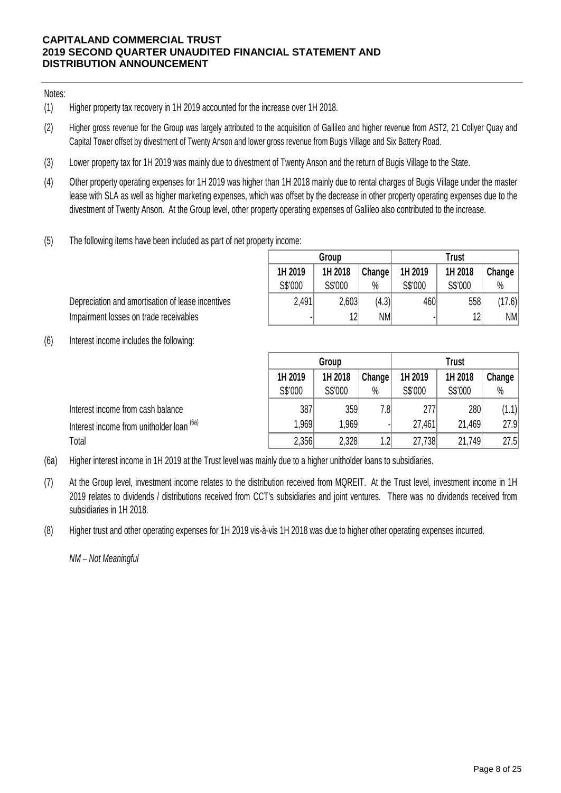### Notes:

- (1) Higher property tax recovery in 1H 2019 accounted for the increase over 1H 2018.
- (2) Higher gross revenue for the Group was largely attributed to the acquisition of Gallileo and higher revenue from AST2, 21 Collyer Quay and Capital Tower offset by divestment of Twenty Anson and lower gross revenue from Bugis Village and Six Battery Road.
- (3) Lower property tax for 1H 2019 was mainly due to divestment of Twenty Anson and the return of Bugis Village to the State.
- (4) Other property operating expenses for 1H 2019 was higher than 1H 2018 mainly due to rental charges of Bugis Village under the master lease with SLA as well as higher marketing expenses, which was offset by the decrease in other property operating expenses due to the divestment of Twenty Anson. At the Group level, other property operating expenses of Gallileo also contributed to the increase.
- (5) The following items have been included as part of net property income:

|                | Group   |                     |         | <b>Trust</b> |        |
|----------------|---------|---------------------|---------|--------------|--------|
| 1H 2019        | 1H 2018 | Change <sup>1</sup> | 1H 2019 | 1H 2018      | Change |
| S\$'000        | S\$'000 | $\%$                | S\$'000 | S\$'000      | $\%$   |
| 2,491          | 2,603   | (4.3)               | 460     | 558          | (17.6) |
| $\blacksquare$ | 12      | NM                  |         | 12           | NM     |

Depreciation and amortisation of lease incentives Impairment losses on trade receivables

(6) Interest income includes the following:

|                                                      | Group   |         |                  | <b>Trust</b> |         |        |  |
|------------------------------------------------------|---------|---------|------------------|--------------|---------|--------|--|
|                                                      | 1H 2019 | 1H 2018 | Change           | 1H 2019      | 1H 2018 | Change |  |
|                                                      | S\$'000 | S\$'000 | $\%$             | S\$'000      | S\$'000 | $\%$   |  |
| Interest income from cash balance                    | 387     | 359     | 7.81             | 277          | 280     | (1.1)  |  |
| Interest income from unitholder loan <sup>(6a)</sup> | 1,969   | 1,969   |                  | 27,461       | 21,469  | 27.9   |  |
| Total                                                | 2,356   | 2,328   | 1.2 <sup>1</sup> | 27,738       | 21,749  | 27.5   |  |

(6a) Higher interest income in 1H 2019 at the Trust level was mainly due to a higher unitholder loans to subsidiaries.

- (7) At the Group level, investment income relates to the distribution received from MQREIT. At the Trust level, investment income in 1H 2019 relates to dividends / distributions received from CCT's subsidiaries and joint ventures. There was no dividends received from subsidiaries in 1H 2018.
- (8) Higher trust and other operating expenses for 1H 2019 vis-à-vis 1H 2018 was due to higher other operating expenses incurred.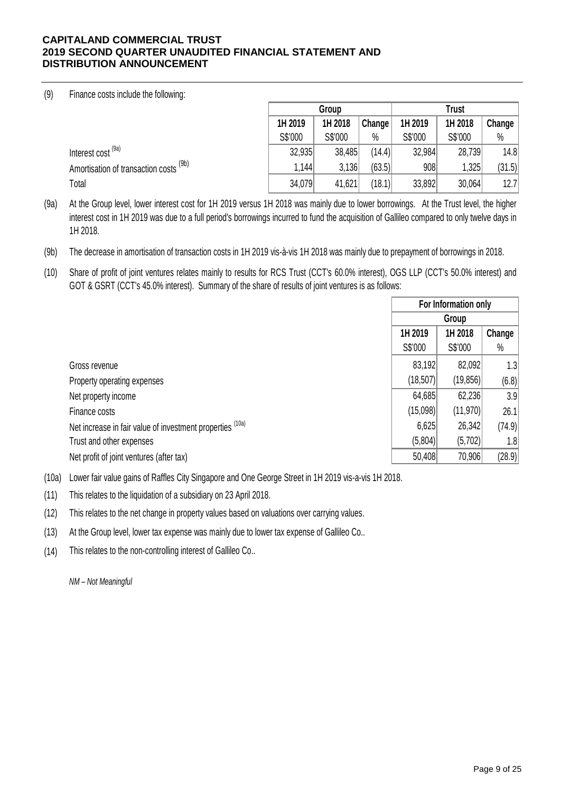### (9) Finance costs include the following:

|                                           | Group   |         |        | <b>Trust</b> |         |        |
|-------------------------------------------|---------|---------|--------|--------------|---------|--------|
|                                           | 1H 2019 | 1H 2018 | Change | 1H 2019      | 1H 2018 | Change |
|                                           | S\$'000 | S\$'000 | %      | S\$'000      | S\$'000 | $\%$   |
| Interest cost <sup>(9a)</sup>             | 32,935  | 38,485  | (14.4) | 32,984       | 28,739  | 14.8   |
| (9b)<br>Amortisation of transaction costs | 1,144   | 3,136   | (63.5) | 908          | 1,325   | (31.5) |
| Total                                     | 34,079  | 41,621  | (18.1) | 33,892       | 30,064  | 12.7   |

(9a) At the Group level, lower interest cost for 1H 2019 versus 1H 2018 was mainly due to lower borrowings. At the Trust level, the higher interest cost in 1H 2019 was due to a full period's borrowings incurred to fund the acquisition of Gallileo compared to only twelve days in 1H 2018.

(9b) The decrease in amortisation of transaction costs in 1H 2019 vis-à-vis 1H 2018 was mainly due to prepayment of borrowings in 2018.

(10) Share of profit of joint ventures relates mainly to results for RCS Trust (CCT's 60.0% interest), OGS LLP (CCT's 50.0% interest) and GOT & GSRT (CCT's 45.0% interest). Summary of the share of results of joint ventures is as follows:

|                                                           |           | For Information only |        |  |
|-----------------------------------------------------------|-----------|----------------------|--------|--|
|                                                           |           | Group                |        |  |
|                                                           | 1H 2019   | 1H 2018<br>Change    |        |  |
|                                                           | S\$'000   | S\$'000              | $\%$   |  |
| Gross revenue                                             | 83,192    | 82,092               | 1.3    |  |
| Property operating expenses                               | (18, 507) | (19,856)             | (6.8)  |  |
| Net property income                                       | 64,685    | 62,236               | 3.9    |  |
| Finance costs                                             | (15,098)  | (11, 970)            | 26.1   |  |
| Net increase in fair value of investment properties (10a) | 6,625     | 26,342               | (74.9) |  |
| Trust and other expenses                                  | (5,804)   | (5,702)              | 1.8    |  |
| Net profit of joint ventures (after tax)                  | 50,408    | 70,906               | (28.9) |  |

(10a) Lower fair value gains of Raffles City Singapore and One George Street in 1H 2019 vis-a-vis 1H 2018.

- (11) This relates to the liquidation of a subsidiary on 23 April 2018.
- (12) This relates to the net change in property values based on valuations over carrying values.

(13) At the Group level, lower tax expense was mainly due to lower tax expense of Gallileo Co..

(14) This relates to the non-controlling interest of Gallileo Co..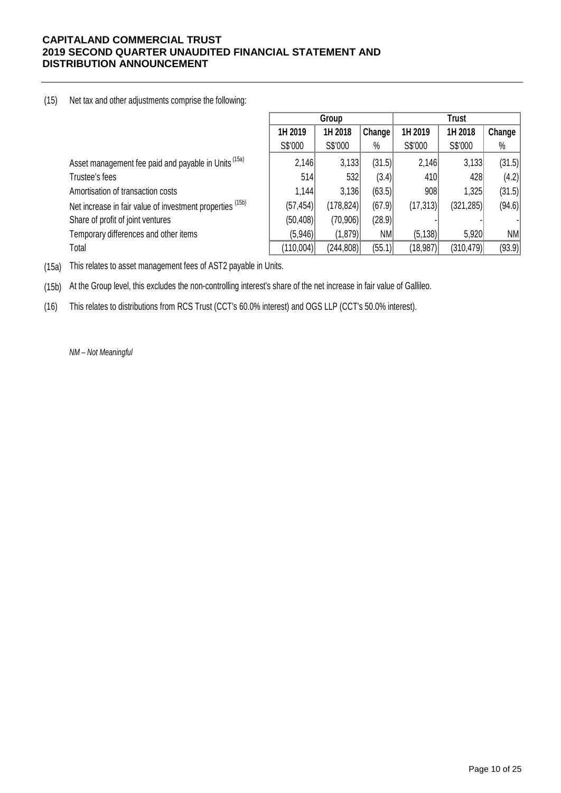### (15) Net tax and other adjustments comprise the following:

|                                                                 |           | Group      |        | Trust     |            |           |
|-----------------------------------------------------------------|-----------|------------|--------|-----------|------------|-----------|
|                                                                 | 1H 2019   | 1H 2018    | Change | 1H 2019   | 1H 2018    | Change    |
|                                                                 | S\$'000   | S\$'000    | $\%$   | S\$'000   | S\$'000    | $\%$      |
| Asset management fee paid and payable in Units <sup>(15a)</sup> | 2,146     | 3,133      | (31.5) | 2,146     | 3,133      | (31.5)    |
| Trustee's fees                                                  | 514       | 532        | (3.4)  | 410       | 428        | (4.2)     |
| Amortisation of transaction costs                               | 1,144     | 3,136      | (63.5) | 908       | 1,325      | (31.5)    |
| Net increase in fair value of investment properties (15b)       | (57,454)  | (178, 824) | (67.9) | (17, 313) | (321, 285) | (94.6)    |
| Share of profit of joint ventures                               | (50, 408) | (70,906)   | (28.9) |           |            |           |
| Temporary differences and other items                           | (5,946)   | (1,879)    | ΝM     | (5, 138)  | 5,920      | <b>NM</b> |
| Total                                                           | (110,004) | (244, 808) | (55.1) | (18, 987) | (310, 479) | (93.9)    |

(15a) This relates to asset management fees of AST2 payable in Units.

(15b) At the Group level, this excludes the non-controlling interest's share of the net increase in fair value of Gallileo.

(16) This relates to distributions from RCS Trust (CCT's 60.0% interest) and OGS LLP (CCT's 50.0% interest).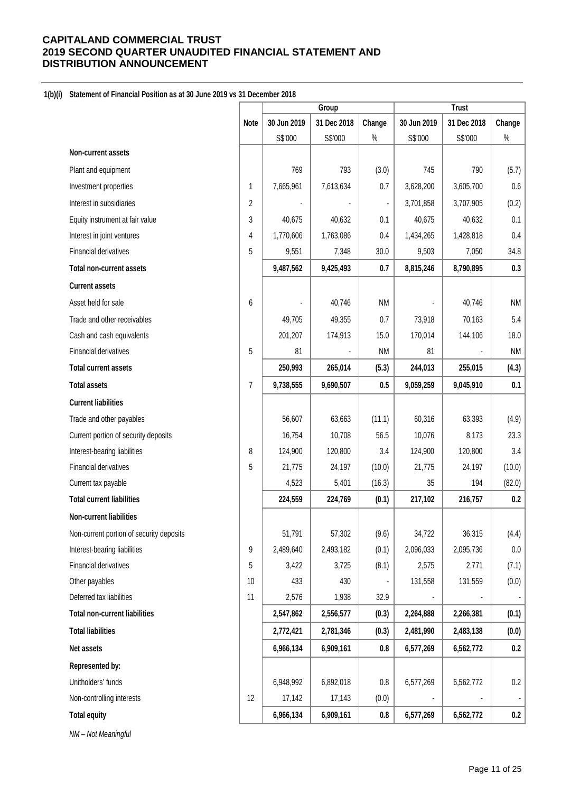### **1(b)(i) Statement of Financial Position as at 30 June 2019 vs 31 December 2018**

|                                          |                | Group       |             | <b>Trust</b>   |             |             |           |
|------------------------------------------|----------------|-------------|-------------|----------------|-------------|-------------|-----------|
|                                          | <b>Note</b>    | 30 Jun 2019 | 31 Dec 2018 | Change         | 30 Jun 2019 | 31 Dec 2018 | Change    |
|                                          |                | S\$'000     | S\$'000     | $\%$           | S\$'000     | S\$'000     | $\%$      |
| Non-current assets                       |                |             |             |                |             |             |           |
| Plant and equipment                      |                | 769         | 793         | (3.0)          | 745         | 790         | (5.7)     |
| Investment properties                    | 1              | 7,665,961   | 7,613,634   | 0.7            | 3,628,200   | 3,605,700   | 0.6       |
| Interest in subsidiaries                 | 2              |             |             | $\blacksquare$ | 3,701,858   | 3,707,905   | (0.2)     |
| Equity instrument at fair value          | 3              | 40,675      | 40,632      | 0.1            | 40,675      | 40,632      | 0.1       |
| Interest in joint ventures               | 4              | 1,770,606   | 1,763,086   | 0.4            | 1,434,265   | 1,428,818   | 0.4       |
| Financial derivatives                    | 5              | 9,551       | 7,348       | 30.0           | 9,503       | 7,050       | 34.8      |
| <b>Total non-current assets</b>          |                | 9,487,562   | 9,425,493   | 0.7            | 8,815,246   | 8,790,895   | 0.3       |
| <b>Current assets</b>                    |                |             |             |                |             |             |           |
| Asset held for sale                      | 6              |             | 40,746      | <b>NM</b>      |             | 40,746      | <b>NM</b> |
| Trade and other receivables              |                | 49,705      | 49,355      | 0.7            | 73,918      | 70,163      | 5.4       |
| Cash and cash equivalents                |                | 201,207     | 174,913     | 15.0           | 170,014     | 144,106     | 18.0      |
| <b>Financial derivatives</b>             | 5              | 81          |             | <b>NM</b>      | 81          |             | <b>NM</b> |
| <b>Total current assets</b>              |                | 250,993     | 265,014     | (5.3)          | 244,013     | 255,015     | (4.3)     |
| <b>Total assets</b>                      | $\overline{7}$ | 9,738,555   | 9,690,507   | 0.5            | 9,059,259   | 9,045,910   | 0.1       |
| <b>Current liabilities</b>               |                |             |             |                |             |             |           |
| Trade and other payables                 |                | 56,607      | 63,663      | (11.1)         | 60,316      | 63,393      | (4.9)     |
| Current portion of security deposits     |                | 16,754      | 10,708      | 56.5           | 10,076      | 8,173       | 23.3      |
| Interest-bearing liabilities             | 8              | 124,900     | 120,800     | 3.4            | 124,900     | 120,800     | 3.4       |
| <b>Financial derivatives</b>             | 5              | 21,775      | 24,197      | (10.0)         | 21,775      | 24,197      | (10.0)    |
| Current tax payable                      |                | 4,523       | 5,401       | (16.3)         | 35          | 194         | (82.0)    |
| <b>Total current liabilities</b>         |                | 224,559     | 224,769     | (0.1)          | 217,102     | 216,757     | 0.2       |
| <b>Non-current liabilities</b>           |                |             |             |                |             |             |           |
| Non-current portion of security deposits |                | 51,791      | 57,302      | (9.6)          | 34,722      | 36,315      | (4.4)     |
| Interest-bearing liabilities             | 9              | 2,489,640   | 2,493,182   | (0.1)          | 2,096,033   | 2,095,736   | $0.0\,$   |
| <b>Financial derivatives</b>             | 5              | 3,422       | 3,725       | (8.1)          | 2,575       | 2,771       | (7.1)     |
| Other payables                           | 10             | 433         | 430         |                | 131,558     | 131,559     | (0.0)     |
| Deferred tax liabilities                 | 11             | 2,576       | 1,938       | 32.9           |             |             |           |
| <b>Total non-current liabilities</b>     |                | 2,547,862   | 2,556,577   | (0.3)          | 2,264,888   | 2,266,381   | (0.1)     |
| <b>Total liabilities</b>                 |                | 2,772,421   | 2,781,346   | (0.3)          | 2,481,990   | 2,483,138   | (0.0)     |
| Net assets                               |                | 6,966,134   | 6,909,161   | $0.8\,$        | 6,577,269   | 6,562,772   | 0.2       |
| Represented by:                          |                |             |             |                |             |             |           |
| Unitholders' funds                       |                | 6,948,992   | 6,892,018   | 0.8            | 6,577,269   | 6,562,772   | 0.2       |
| Non-controlling interests                | 12             | 17,142      | 17,143      | (0.0)          |             |             | ۰         |
| <b>Total equity</b>                      |                | 6,966,134   | 6,909,161   | $0.8\,$        | 6,577,269   | 6,562,772   | 0.2       |
|                                          |                |             |             |                |             |             |           |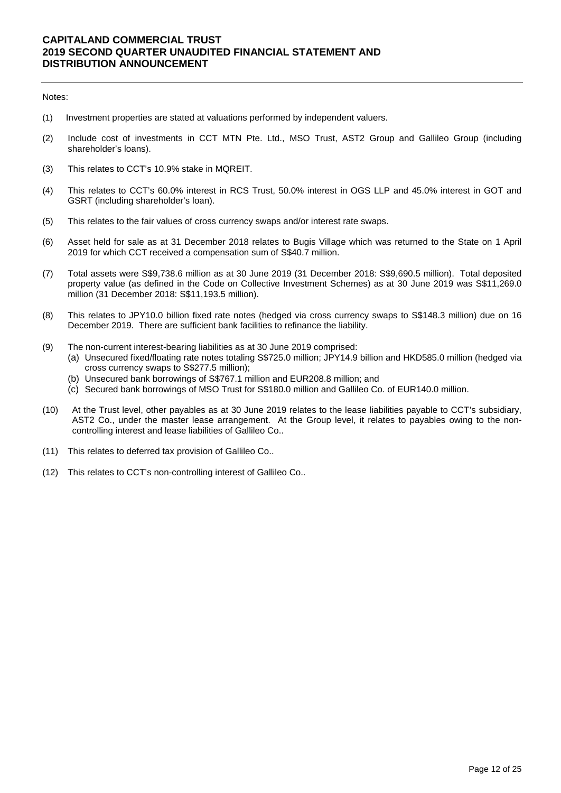#### Notes:

- (1) Investment properties are stated at valuations performed by independent valuers.
- (2) Include cost of investments in CCT MTN Pte. Ltd., MSO Trust, AST2 Group and Gallileo Group (including shareholder's loans).
- (3) This relates to CCT's 10.9% stake in MQREIT.
- (4) This relates to CCT's 60.0% interest in RCS Trust, 50.0% interest in OGS LLP and 45.0% interest in GOT and GSRT (including shareholder's loan).
- (5) This relates to the fair values of cross currency swaps and/or interest rate swaps.
- (6) Asset held for sale as at 31 December 2018 relates to Bugis Village which was returned to the State on 1 April 2019 for which CCT received a compensation sum of S\$40.7 million.
- (7) Total assets were S\$9,738.6 million as at 30 June 2019 (31 December 2018: S\$9,690.5 million). Total deposited property value (as defined in the Code on Collective Investment Schemes) as at 30 June 2019 was S\$11,269.0 million (31 December 2018: S\$11,193.5 million).
- (8) This relates to JPY10.0 billion fixed rate notes (hedged via cross currency swaps to S\$148.3 million) due on 16 December 2019. There are sufficient bank facilities to refinance the liability.
- (9) The non-current interest-bearing liabilities as at 30 June 2019 comprised:
	- (a) Unsecured fixed/floating rate notes totaling S\$725.0 million; JPY14.9 billion and HKD585.0 million (hedged via cross currency swaps to S\$277.5 million);
	- (b) Unsecured bank borrowings of S\$767.1 million and EUR208.8 million; and
	- (c) Secured bank borrowings of MSO Trust for S\$180.0 million and Gallileo Co. of EUR140.0 million.
- (10) At the Trust level, other payables as at 30 June 2019 relates to the lease liabilities payable to CCT's subsidiary, AST2 Co., under the master lease arrangement. At the Group level, it relates to payables owing to the noncontrolling interest and lease liabilities of Gallileo Co..
- (11) This relates to deferred tax provision of Gallileo Co..
- (12) This relates to CCT's non-controlling interest of Gallileo Co..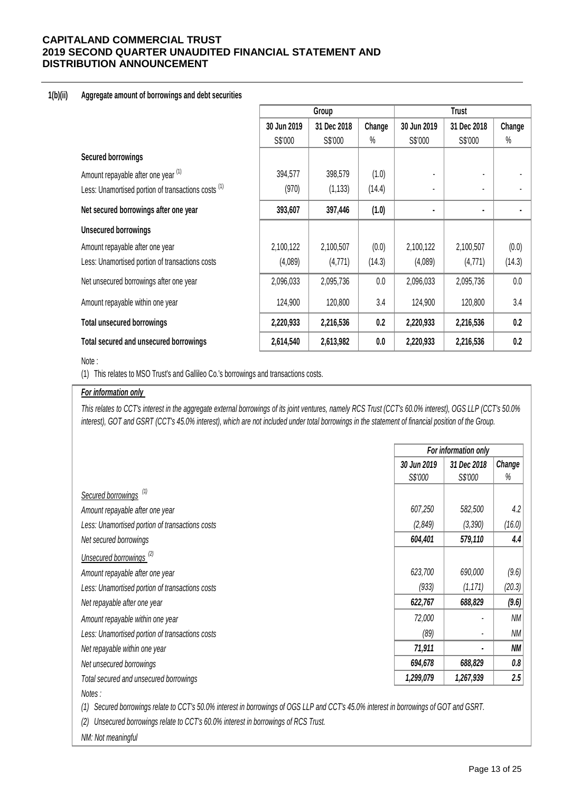### **1(b)(ii) Aggregate amount of borrowings and debt securities**

|                                                                |             | Group       |        |             |             |        |
|----------------------------------------------------------------|-------------|-------------|--------|-------------|-------------|--------|
|                                                                | 30 Jun 2019 | 31 Dec 2018 | Change | 30 Jun 2019 | 31 Dec 2018 | Change |
|                                                                | S\$'000     | S\$'000     | $\%$   | S\$'000     | S\$'000     | %      |
| <b>Secured borrowings</b>                                      |             |             |        |             |             |        |
| Amount repayable after one year (1)                            | 394,577     | 398,579     | (1.0)  |             |             |        |
| Less: Unamortised portion of transactions costs <sup>(1)</sup> | (970)       | (1, 133)    | (14.4) |             |             |        |
| Net secured borrowings after one year                          | 393,607     | 397,446     | (1.0)  |             |             |        |
| <b>Unsecured borrowings</b>                                    |             |             |        |             |             |        |
| Amount repayable after one year                                | 2,100,122   | 2,100,507   | (0.0)  | 2,100,122   | 2,100,507   | (0.0)  |
| Less: Unamortised portion of transactions costs                | (4,089)     | (4,771)     | (14.3) | (4,089)     | (4,771)     | (14.3) |
| Net unsecured borrowings after one year                        | 2,096,033   | 2,095,736   | 0.0    | 2,096,033   | 2,095,736   | 0.0    |
| Amount repayable within one year                               | 124,900     | 120,800     | 3.4    | 124,900     | 120,800     | 3.4    |
| <b>Total unsecured borrowings</b>                              | 2,220,933   | 2,216,536   | 0.2    | 2,220,933   | 2,216,536   | 0.2    |
| Total secured and unsecured borrowings                         | 2,614,540   | 2,613,982   | 0.0    | 2,220,933   | 2,216,536   | 0.2    |

### Note :

(1) This relates to MSO Trust's and Gallileo Co.'s borrowings and transactions costs.

### *For information only*

*This relates to CCT's interest in the aggregate external borrowings of its joint ventures, namely RCS Trust (CCT's 60.0% interest), OGS LLP (CCT's 50.0% interest), GOT and GSRT (CCT's 45.0% interest), which are not included under total borrowings in the statement of financial position of the Group.*

|                                                 |             | For information only     |           |  |  |
|-------------------------------------------------|-------------|--------------------------|-----------|--|--|
|                                                 | 30 Jun 2019 | 31 Dec 2018              | Change    |  |  |
|                                                 | S\$'000     | S\$'000                  | %         |  |  |
| Secured borrowings <sup>(1)</sup>               |             |                          |           |  |  |
| Amount repayable after one year                 | 607,250     | 582,500                  | 4.2       |  |  |
| Less: Unamortised portion of transactions costs | (2,849)     | (3, 390)                 | (16.0)    |  |  |
| Net secured borrowings                          | 604,401     | 579,110                  | 4.4       |  |  |
| Unsecured borrowings <sup>(2)</sup>             |             |                          |           |  |  |
| Amount repayable after one year                 | 623,700     | 690,000                  | (9.6)     |  |  |
| Less: Unamortised portion of transactions costs | (933)       | (1, 171)                 | (20.3)    |  |  |
| Net repayable after one year                    | 622,767     | 688,829                  | (9.6)     |  |  |
| Amount repayable within one year                | 72,000      |                          | <b>NM</b> |  |  |
| Less: Unamortised portion of transactions costs | (89)        | $\blacksquare$           | <b>NM</b> |  |  |
| Net repayable within one year                   | 71,911      | $\overline{\phantom{a}}$ | NM        |  |  |
| Net unsecured borrowings                        | 694,678     | 688,829                  | 0.8       |  |  |
| Total secured and unsecured borrowings          | 1,299,079   | 1,267,939                | 2.5       |  |  |
| Notes:                                          |             |                          |           |  |  |

*(1) Secured borrowings relate to CCT's 50.0% interest in borrowings of OGS LLP and CCT's 45.0% interest in borrowings of GOT and GSRT.* 

*(2) Unsecured borrowings relate to CCT's 60.0% interest in borrowings of RCS Trust.*

*NM: Not meaningful*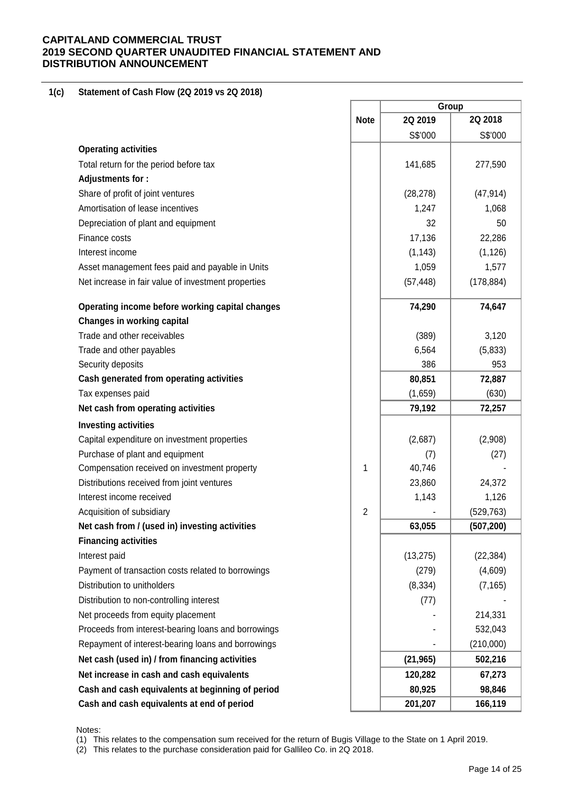#### **1(c) Statement of Cash Flow (2Q 2019 vs 2Q 2018)**

| 2Q 2018<br><b>Note</b><br>2Q 2019<br>S\$'000<br>S\$'000<br><b>Operating activities</b><br>Total return for the period before tax<br>141,685<br>277,590<br>Adjustments for:<br>Share of profit of joint ventures<br>(47, 914)<br>(28, 278)<br>Amortisation of lease incentives<br>1,247<br>1,068<br>Depreciation of plant and equipment<br>32<br>50<br>17,136<br>22,286<br>Finance costs<br>Interest income<br>(1, 143)<br>(1, 126)<br>Asset management fees paid and payable in Units<br>1,059<br>1,577<br>(178, 884)<br>Net increase in fair value of investment properties<br>(57, 448)<br>Operating income before working capital changes<br>74,290<br>74,647<br>Changes in working capital<br>Trade and other receivables<br>(389)<br>3,120<br>6,564<br>(5,833)<br>Trade and other payables<br>386<br>Security deposits<br>953<br>Cash generated from operating activities<br>80,851<br>72,887<br>(1,659)<br>Tax expenses paid<br>(630)<br>Net cash from operating activities<br>79,192<br>72,257<br><b>Investing activities</b><br>Capital expenditure on investment properties<br>(2,687)<br>(2,908)<br>Purchase of plant and equipment<br>(7)<br>(27)<br>Compensation received on investment property<br>1<br>40,746<br>Distributions received from joint ventures<br>23,860<br>24,372<br>Interest income received<br>1,143<br>1,126<br>2<br>(529, 763)<br>Acquisition of subsidiary<br>63,055<br>Net cash from / (used in) investing activities<br>(507, 200)<br><b>Financing activities</b><br>Interest paid<br>(13, 275)<br>(22, 384)<br>Payment of transaction costs related to borrowings<br>(279)<br>(4,609)<br>Distribution to unitholders<br>(8, 334)<br>(7, 165)<br>Distribution to non-controlling interest<br>(77)<br>Net proceeds from equity placement<br>214,331<br>Proceeds from interest-bearing loans and borrowings<br>532,043<br>Repayment of interest-bearing loans and borrowings<br>(210,000)<br>Net cash (used in) / from financing activities<br>(21, 965)<br>502,216<br>Net increase in cash and cash equivalents<br>120,282<br>67,273<br>80,925<br>Cash and cash equivalents at beginning of period<br>98,846<br>Cash and cash equivalents at end of period<br>201,207<br>166,119 |  | Group |  |  |
|--------------------------------------------------------------------------------------------------------------------------------------------------------------------------------------------------------------------------------------------------------------------------------------------------------------------------------------------------------------------------------------------------------------------------------------------------------------------------------------------------------------------------------------------------------------------------------------------------------------------------------------------------------------------------------------------------------------------------------------------------------------------------------------------------------------------------------------------------------------------------------------------------------------------------------------------------------------------------------------------------------------------------------------------------------------------------------------------------------------------------------------------------------------------------------------------------------------------------------------------------------------------------------------------------------------------------------------------------------------------------------------------------------------------------------------------------------------------------------------------------------------------------------------------------------------------------------------------------------------------------------------------------------------------------------------------------------------------------------------------------------------------------------------------------------------------------------------------------------------------------------------------------------------------------------------------------------------------------------------------------------------------------------------------------------------------------------------------------------------------------------------------------------------------------------------------------------------------|--|-------|--|--|
|                                                                                                                                                                                                                                                                                                                                                                                                                                                                                                                                                                                                                                                                                                                                                                                                                                                                                                                                                                                                                                                                                                                                                                                                                                                                                                                                                                                                                                                                                                                                                                                                                                                                                                                                                                                                                                                                                                                                                                                                                                                                                                                                                                                                                    |  |       |  |  |
|                                                                                                                                                                                                                                                                                                                                                                                                                                                                                                                                                                                                                                                                                                                                                                                                                                                                                                                                                                                                                                                                                                                                                                                                                                                                                                                                                                                                                                                                                                                                                                                                                                                                                                                                                                                                                                                                                                                                                                                                                                                                                                                                                                                                                    |  |       |  |  |
|                                                                                                                                                                                                                                                                                                                                                                                                                                                                                                                                                                                                                                                                                                                                                                                                                                                                                                                                                                                                                                                                                                                                                                                                                                                                                                                                                                                                                                                                                                                                                                                                                                                                                                                                                                                                                                                                                                                                                                                                                                                                                                                                                                                                                    |  |       |  |  |
|                                                                                                                                                                                                                                                                                                                                                                                                                                                                                                                                                                                                                                                                                                                                                                                                                                                                                                                                                                                                                                                                                                                                                                                                                                                                                                                                                                                                                                                                                                                                                                                                                                                                                                                                                                                                                                                                                                                                                                                                                                                                                                                                                                                                                    |  |       |  |  |
|                                                                                                                                                                                                                                                                                                                                                                                                                                                                                                                                                                                                                                                                                                                                                                                                                                                                                                                                                                                                                                                                                                                                                                                                                                                                                                                                                                                                                                                                                                                                                                                                                                                                                                                                                                                                                                                                                                                                                                                                                                                                                                                                                                                                                    |  |       |  |  |
|                                                                                                                                                                                                                                                                                                                                                                                                                                                                                                                                                                                                                                                                                                                                                                                                                                                                                                                                                                                                                                                                                                                                                                                                                                                                                                                                                                                                                                                                                                                                                                                                                                                                                                                                                                                                                                                                                                                                                                                                                                                                                                                                                                                                                    |  |       |  |  |
|                                                                                                                                                                                                                                                                                                                                                                                                                                                                                                                                                                                                                                                                                                                                                                                                                                                                                                                                                                                                                                                                                                                                                                                                                                                                                                                                                                                                                                                                                                                                                                                                                                                                                                                                                                                                                                                                                                                                                                                                                                                                                                                                                                                                                    |  |       |  |  |
|                                                                                                                                                                                                                                                                                                                                                                                                                                                                                                                                                                                                                                                                                                                                                                                                                                                                                                                                                                                                                                                                                                                                                                                                                                                                                                                                                                                                                                                                                                                                                                                                                                                                                                                                                                                                                                                                                                                                                                                                                                                                                                                                                                                                                    |  |       |  |  |
|                                                                                                                                                                                                                                                                                                                                                                                                                                                                                                                                                                                                                                                                                                                                                                                                                                                                                                                                                                                                                                                                                                                                                                                                                                                                                                                                                                                                                                                                                                                                                                                                                                                                                                                                                                                                                                                                                                                                                                                                                                                                                                                                                                                                                    |  |       |  |  |
|                                                                                                                                                                                                                                                                                                                                                                                                                                                                                                                                                                                                                                                                                                                                                                                                                                                                                                                                                                                                                                                                                                                                                                                                                                                                                                                                                                                                                                                                                                                                                                                                                                                                                                                                                                                                                                                                                                                                                                                                                                                                                                                                                                                                                    |  |       |  |  |
|                                                                                                                                                                                                                                                                                                                                                                                                                                                                                                                                                                                                                                                                                                                                                                                                                                                                                                                                                                                                                                                                                                                                                                                                                                                                                                                                                                                                                                                                                                                                                                                                                                                                                                                                                                                                                                                                                                                                                                                                                                                                                                                                                                                                                    |  |       |  |  |
|                                                                                                                                                                                                                                                                                                                                                                                                                                                                                                                                                                                                                                                                                                                                                                                                                                                                                                                                                                                                                                                                                                                                                                                                                                                                                                                                                                                                                                                                                                                                                                                                                                                                                                                                                                                                                                                                                                                                                                                                                                                                                                                                                                                                                    |  |       |  |  |
|                                                                                                                                                                                                                                                                                                                                                                                                                                                                                                                                                                                                                                                                                                                                                                                                                                                                                                                                                                                                                                                                                                                                                                                                                                                                                                                                                                                                                                                                                                                                                                                                                                                                                                                                                                                                                                                                                                                                                                                                                                                                                                                                                                                                                    |  |       |  |  |
|                                                                                                                                                                                                                                                                                                                                                                                                                                                                                                                                                                                                                                                                                                                                                                                                                                                                                                                                                                                                                                                                                                                                                                                                                                                                                                                                                                                                                                                                                                                                                                                                                                                                                                                                                                                                                                                                                                                                                                                                                                                                                                                                                                                                                    |  |       |  |  |
|                                                                                                                                                                                                                                                                                                                                                                                                                                                                                                                                                                                                                                                                                                                                                                                                                                                                                                                                                                                                                                                                                                                                                                                                                                                                                                                                                                                                                                                                                                                                                                                                                                                                                                                                                                                                                                                                                                                                                                                                                                                                                                                                                                                                                    |  |       |  |  |
|                                                                                                                                                                                                                                                                                                                                                                                                                                                                                                                                                                                                                                                                                                                                                                                                                                                                                                                                                                                                                                                                                                                                                                                                                                                                                                                                                                                                                                                                                                                                                                                                                                                                                                                                                                                                                                                                                                                                                                                                                                                                                                                                                                                                                    |  |       |  |  |
|                                                                                                                                                                                                                                                                                                                                                                                                                                                                                                                                                                                                                                                                                                                                                                                                                                                                                                                                                                                                                                                                                                                                                                                                                                                                                                                                                                                                                                                                                                                                                                                                                                                                                                                                                                                                                                                                                                                                                                                                                                                                                                                                                                                                                    |  |       |  |  |
|                                                                                                                                                                                                                                                                                                                                                                                                                                                                                                                                                                                                                                                                                                                                                                                                                                                                                                                                                                                                                                                                                                                                                                                                                                                                                                                                                                                                                                                                                                                                                                                                                                                                                                                                                                                                                                                                                                                                                                                                                                                                                                                                                                                                                    |  |       |  |  |
|                                                                                                                                                                                                                                                                                                                                                                                                                                                                                                                                                                                                                                                                                                                                                                                                                                                                                                                                                                                                                                                                                                                                                                                                                                                                                                                                                                                                                                                                                                                                                                                                                                                                                                                                                                                                                                                                                                                                                                                                                                                                                                                                                                                                                    |  |       |  |  |
|                                                                                                                                                                                                                                                                                                                                                                                                                                                                                                                                                                                                                                                                                                                                                                                                                                                                                                                                                                                                                                                                                                                                                                                                                                                                                                                                                                                                                                                                                                                                                                                                                                                                                                                                                                                                                                                                                                                                                                                                                                                                                                                                                                                                                    |  |       |  |  |
|                                                                                                                                                                                                                                                                                                                                                                                                                                                                                                                                                                                                                                                                                                                                                                                                                                                                                                                                                                                                                                                                                                                                                                                                                                                                                                                                                                                                                                                                                                                                                                                                                                                                                                                                                                                                                                                                                                                                                                                                                                                                                                                                                                                                                    |  |       |  |  |
|                                                                                                                                                                                                                                                                                                                                                                                                                                                                                                                                                                                                                                                                                                                                                                                                                                                                                                                                                                                                                                                                                                                                                                                                                                                                                                                                                                                                                                                                                                                                                                                                                                                                                                                                                                                                                                                                                                                                                                                                                                                                                                                                                                                                                    |  |       |  |  |
|                                                                                                                                                                                                                                                                                                                                                                                                                                                                                                                                                                                                                                                                                                                                                                                                                                                                                                                                                                                                                                                                                                                                                                                                                                                                                                                                                                                                                                                                                                                                                                                                                                                                                                                                                                                                                                                                                                                                                                                                                                                                                                                                                                                                                    |  |       |  |  |
|                                                                                                                                                                                                                                                                                                                                                                                                                                                                                                                                                                                                                                                                                                                                                                                                                                                                                                                                                                                                                                                                                                                                                                                                                                                                                                                                                                                                                                                                                                                                                                                                                                                                                                                                                                                                                                                                                                                                                                                                                                                                                                                                                                                                                    |  |       |  |  |
|                                                                                                                                                                                                                                                                                                                                                                                                                                                                                                                                                                                                                                                                                                                                                                                                                                                                                                                                                                                                                                                                                                                                                                                                                                                                                                                                                                                                                                                                                                                                                                                                                                                                                                                                                                                                                                                                                                                                                                                                                                                                                                                                                                                                                    |  |       |  |  |
|                                                                                                                                                                                                                                                                                                                                                                                                                                                                                                                                                                                                                                                                                                                                                                                                                                                                                                                                                                                                                                                                                                                                                                                                                                                                                                                                                                                                                                                                                                                                                                                                                                                                                                                                                                                                                                                                                                                                                                                                                                                                                                                                                                                                                    |  |       |  |  |
|                                                                                                                                                                                                                                                                                                                                                                                                                                                                                                                                                                                                                                                                                                                                                                                                                                                                                                                                                                                                                                                                                                                                                                                                                                                                                                                                                                                                                                                                                                                                                                                                                                                                                                                                                                                                                                                                                                                                                                                                                                                                                                                                                                                                                    |  |       |  |  |
|                                                                                                                                                                                                                                                                                                                                                                                                                                                                                                                                                                                                                                                                                                                                                                                                                                                                                                                                                                                                                                                                                                                                                                                                                                                                                                                                                                                                                                                                                                                                                                                                                                                                                                                                                                                                                                                                                                                                                                                                                                                                                                                                                                                                                    |  |       |  |  |
|                                                                                                                                                                                                                                                                                                                                                                                                                                                                                                                                                                                                                                                                                                                                                                                                                                                                                                                                                                                                                                                                                                                                                                                                                                                                                                                                                                                                                                                                                                                                                                                                                                                                                                                                                                                                                                                                                                                                                                                                                                                                                                                                                                                                                    |  |       |  |  |
|                                                                                                                                                                                                                                                                                                                                                                                                                                                                                                                                                                                                                                                                                                                                                                                                                                                                                                                                                                                                                                                                                                                                                                                                                                                                                                                                                                                                                                                                                                                                                                                                                                                                                                                                                                                                                                                                                                                                                                                                                                                                                                                                                                                                                    |  |       |  |  |
|                                                                                                                                                                                                                                                                                                                                                                                                                                                                                                                                                                                                                                                                                                                                                                                                                                                                                                                                                                                                                                                                                                                                                                                                                                                                                                                                                                                                                                                                                                                                                                                                                                                                                                                                                                                                                                                                                                                                                                                                                                                                                                                                                                                                                    |  |       |  |  |
|                                                                                                                                                                                                                                                                                                                                                                                                                                                                                                                                                                                                                                                                                                                                                                                                                                                                                                                                                                                                                                                                                                                                                                                                                                                                                                                                                                                                                                                                                                                                                                                                                                                                                                                                                                                                                                                                                                                                                                                                                                                                                                                                                                                                                    |  |       |  |  |
|                                                                                                                                                                                                                                                                                                                                                                                                                                                                                                                                                                                                                                                                                                                                                                                                                                                                                                                                                                                                                                                                                                                                                                                                                                                                                                                                                                                                                                                                                                                                                                                                                                                                                                                                                                                                                                                                                                                                                                                                                                                                                                                                                                                                                    |  |       |  |  |
|                                                                                                                                                                                                                                                                                                                                                                                                                                                                                                                                                                                                                                                                                                                                                                                                                                                                                                                                                                                                                                                                                                                                                                                                                                                                                                                                                                                                                                                                                                                                                                                                                                                                                                                                                                                                                                                                                                                                                                                                                                                                                                                                                                                                                    |  |       |  |  |
|                                                                                                                                                                                                                                                                                                                                                                                                                                                                                                                                                                                                                                                                                                                                                                                                                                                                                                                                                                                                                                                                                                                                                                                                                                                                                                                                                                                                                                                                                                                                                                                                                                                                                                                                                                                                                                                                                                                                                                                                                                                                                                                                                                                                                    |  |       |  |  |
|                                                                                                                                                                                                                                                                                                                                                                                                                                                                                                                                                                                                                                                                                                                                                                                                                                                                                                                                                                                                                                                                                                                                                                                                                                                                                                                                                                                                                                                                                                                                                                                                                                                                                                                                                                                                                                                                                                                                                                                                                                                                                                                                                                                                                    |  |       |  |  |
|                                                                                                                                                                                                                                                                                                                                                                                                                                                                                                                                                                                                                                                                                                                                                                                                                                                                                                                                                                                                                                                                                                                                                                                                                                                                                                                                                                                                                                                                                                                                                                                                                                                                                                                                                                                                                                                                                                                                                                                                                                                                                                                                                                                                                    |  |       |  |  |
|                                                                                                                                                                                                                                                                                                                                                                                                                                                                                                                                                                                                                                                                                                                                                                                                                                                                                                                                                                                                                                                                                                                                                                                                                                                                                                                                                                                                                                                                                                                                                                                                                                                                                                                                                                                                                                                                                                                                                                                                                                                                                                                                                                                                                    |  |       |  |  |
|                                                                                                                                                                                                                                                                                                                                                                                                                                                                                                                                                                                                                                                                                                                                                                                                                                                                                                                                                                                                                                                                                                                                                                                                                                                                                                                                                                                                                                                                                                                                                                                                                                                                                                                                                                                                                                                                                                                                                                                                                                                                                                                                                                                                                    |  |       |  |  |
|                                                                                                                                                                                                                                                                                                                                                                                                                                                                                                                                                                                                                                                                                                                                                                                                                                                                                                                                                                                                                                                                                                                                                                                                                                                                                                                                                                                                                                                                                                                                                                                                                                                                                                                                                                                                                                                                                                                                                                                                                                                                                                                                                                                                                    |  |       |  |  |

Notes:

(1) This relates to the compensation sum received for the return of Bugis Village to the State on 1 April 2019.

 $(2)$  This relates to the purchase consideration paid for Gallileo Co. in 2Q 2018.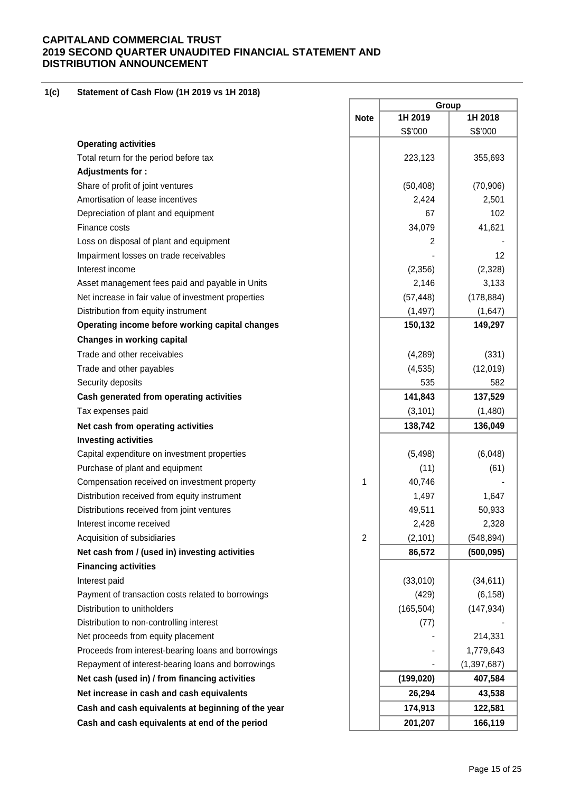#### **1(c) Statement of Cash Flow (1H 2019 vs 1H 2018)**

|                                                     |                | Group      |               |  |
|-----------------------------------------------------|----------------|------------|---------------|--|
|                                                     | <b>Note</b>    | 1H 2019    | 1H 2018       |  |
|                                                     |                | S\$'000    | S\$'000       |  |
| <b>Operating activities</b>                         |                |            |               |  |
| Total return for the period before tax              |                | 223,123    | 355,693       |  |
| Adjustments for:                                    |                |            |               |  |
| Share of profit of joint ventures                   |                | (50, 408)  | (70, 906)     |  |
| Amortisation of lease incentives                    |                | 2,424      | 2,501         |  |
| Depreciation of plant and equipment                 |                | 67         | 102           |  |
| Finance costs                                       |                | 34,079     | 41,621        |  |
| Loss on disposal of plant and equipment             |                | 2          |               |  |
| Impairment losses on trade receivables              |                |            | 12            |  |
| Interest income                                     |                | (2,356)    | (2,328)       |  |
| Asset management fees paid and payable in Units     |                | 2,146      | 3,133         |  |
| Net increase in fair value of investment properties |                | (57, 448)  | (178, 884)    |  |
| Distribution from equity instrument                 |                | (1, 497)   | (1,647)       |  |
| Operating income before working capital changes     |                | 150,132    | 149,297       |  |
| <b>Changes in working capital</b>                   |                |            |               |  |
| Trade and other receivables                         |                | (4,289)    | (331)         |  |
| Trade and other payables                            |                | (4, 535)   | (12,019)      |  |
| Security deposits                                   |                | 535        | 582           |  |
| Cash generated from operating activities            |                | 141,843    | 137,529       |  |
| Tax expenses paid                                   |                | (3, 101)   | (1,480)       |  |
| Net cash from operating activities                  |                | 138,742    | 136,049       |  |
| <b>Investing activities</b>                         |                |            |               |  |
| Capital expenditure on investment properties        |                | (5, 498)   | (6,048)       |  |
| Purchase of plant and equipment                     |                | (11)       | (61)          |  |
| Compensation received on investment property        | 1              | 40,746     |               |  |
| Distribution received from equity instrument        |                | 1,497      | 1,647         |  |
| Distributions received from joint ventures          |                | 49,511     | 50,933        |  |
| Interest income received                            |                | 2,428      | 2,328         |  |
| Acquisition of subsidiaries                         | $\overline{2}$ | (2, 101)   | (548, 894)    |  |
| Net cash from / (used in) investing activities      |                | 86,572     | (500, 095)    |  |
| <b>Financing activities</b>                         |                |            |               |  |
| Interest paid                                       |                | (33,010)   | (34, 611)     |  |
| Payment of transaction costs related to borrowings  |                | (429)      | (6, 158)      |  |
| Distribution to unitholders                         |                | (165, 504) | (147, 934)    |  |
| Distribution to non-controlling interest            |                | (77)       |               |  |
| Net proceeds from equity placement                  |                |            | 214,331       |  |
| Proceeds from interest-bearing loans and borrowings |                |            | 1,779,643     |  |
| Repayment of interest-bearing loans and borrowings  |                |            | (1, 397, 687) |  |
| Net cash (used in) / from financing activities      |                | (199, 020) | 407,584       |  |
| Net increase in cash and cash equivalents           |                | 26,294     | 43,538        |  |
| Cash and cash equivalents at beginning of the year  |                | 174,913    | 122,581       |  |
| Cash and cash equivalents at end of the period      |                | 201,207    | 166,119       |  |
|                                                     |                |            |               |  |

 $\overline{\phantom{a}}$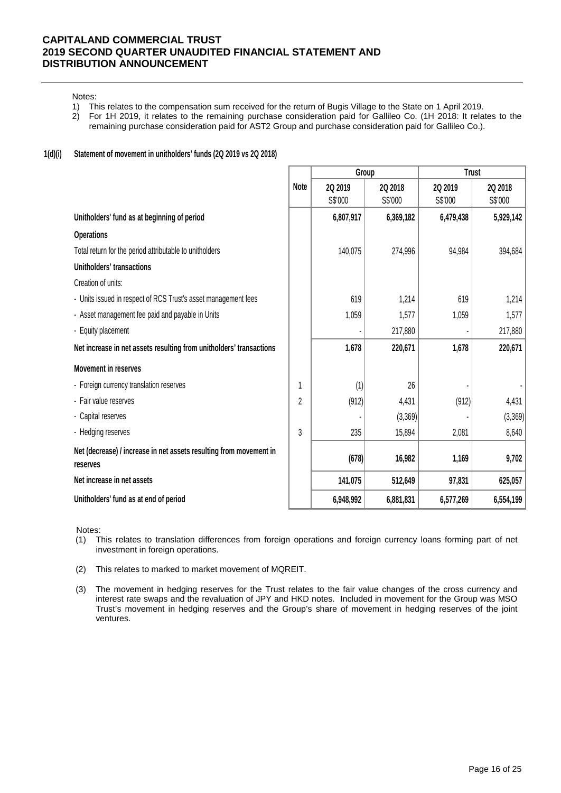Notes:

- 1) This relates to the compensation sum received for the return of Bugis Village to the State on 1 April 2019.
- 2) For 1H 2019, it relates to the remaining purchase consideration paid for Gallileo Co. (1H 2018: It relates to the remaining purchase consideration paid for AST2 Group and purchase consideration paid for Gallileo Co.).

### **1(d)(i) Statement of movement in unitholders' funds (2Q 2019 vs 2Q 2018)**

|                                                                                |             | Group     |           | <b>Trust</b> |                |  |
|--------------------------------------------------------------------------------|-------------|-----------|-----------|--------------|----------------|--|
|                                                                                | <b>Note</b> | 2Q 2019   | 2Q 2018   | 2Q 2019      | <b>2Q 2018</b> |  |
|                                                                                |             | S\$'000   | S\$'000   | S\$'000      | S\$'000        |  |
| Unitholders' fund as at beginning of period                                    |             | 6,807,917 | 6,369,182 | 6,479,438    | 5,929,142      |  |
| <b>Operations</b>                                                              |             |           |           |              |                |  |
| Total return for the period attributable to unitholders                        |             | 140,075   | 274,996   | 94,984       | 394,684        |  |
| Unitholders' transactions                                                      |             |           |           |              |                |  |
| Creation of units:                                                             |             |           |           |              |                |  |
| - Units issued in respect of RCS Trust's asset management fees                 |             | 619       | 1,214     | 619          | 1,214          |  |
| - Asset management fee paid and payable in Units                               |             | 1,059     | 1,577     | 1,059        | 1,577          |  |
| - Equity placement                                                             |             |           | 217,880   |              | 217,880        |  |
| Net increase in net assets resulting from unitholders' transactions            |             | 1,678     | 220,671   | 1,678        | 220,671        |  |
| <b>Movement in reserves</b>                                                    |             |           |           |              |                |  |
| - Foreign currency translation reserves                                        |             | (1)       | 26        |              |                |  |
| - Fair value reserves                                                          | 2           | (912)     | 4,431     | (912)        | 4,431          |  |
| - Capital reserves                                                             |             |           | (3,369)   |              | (3,369)        |  |
| - Hedging reserves                                                             | 3           | 235       | 15,894    | 2,081        | 8,640          |  |
| Net (decrease) / increase in net assets resulting from movement in<br>reserves |             | (678)     | 16,982    | 1,169        | 9,702          |  |
| Net increase in net assets                                                     |             | 141,075   | 512,649   | 97,831       | 625,057        |  |
| Unitholders' fund as at end of period                                          |             | 6,948,992 | 6,881,831 | 6,577,269    | 6,554,199      |  |

Notes:

- (1) This relates to translation differences from foreign operations and foreign currency loans forming part of net investment in foreign operations.
- (2) This relates to marked to market movement of MQREIT.
- (3) The movement in hedging reserves for the Trust relates to the fair value changes of the cross currency and interest rate swaps and the revaluation of JPY and HKD notes. Included in movement for the Group was MSO Trust's movement in hedging reserves and the Group's share of movement in hedging reserves of the joint ventures.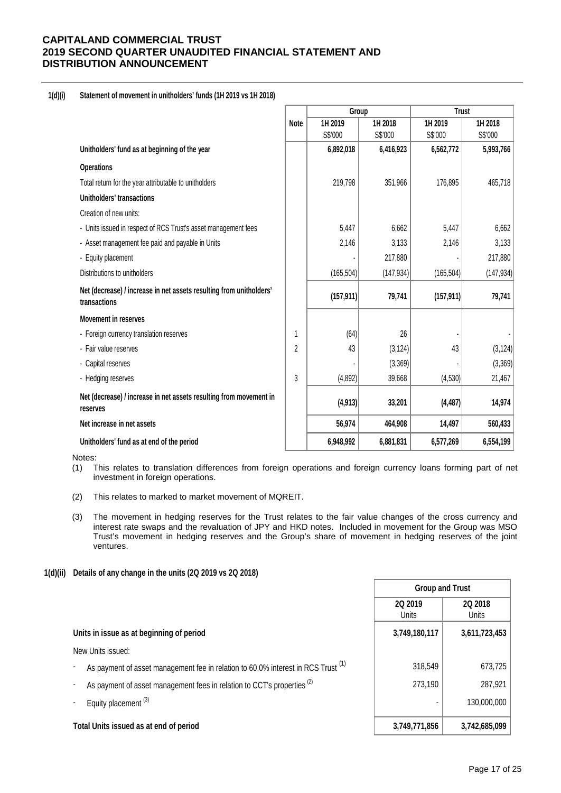### **1(d)(i) Statement of movement in unitholders' funds (1H 2019 vs 1H 2018)**

|                                                                                     |      | Group      |            | <b>Trust</b> |            |
|-------------------------------------------------------------------------------------|------|------------|------------|--------------|------------|
|                                                                                     | Note | 1H 2019    | 1H 2018    | 1H 2019      | 1H 2018    |
|                                                                                     |      | S\$'000    | S\$'000    | S\$'000      | S\$'000    |
| Unitholders' fund as at beginning of the year                                       |      | 6,892,018  | 6,416,923  | 6,562,772    | 5,993,766  |
| <b>Operations</b>                                                                   |      |            |            |              |            |
| Total return for the year attributable to unitholders                               |      | 219,798    | 351,966    | 176,895      | 465,718    |
| Unitholders' transactions                                                           |      |            |            |              |            |
| Creation of new units:                                                              |      |            |            |              |            |
| - Units issued in respect of RCS Trust's asset management fees                      |      | 5,447      | 6,662      | 5,447        | 6,662      |
| - Asset management fee paid and payable in Units                                    |      | 2,146      | 3,133      | 2,146        | 3,133      |
| - Equity placement                                                                  |      |            | 217,880    |              | 217,880    |
| Distributions to unitholders                                                        |      | (165, 504) | (147, 934) | (165, 504)   | (147, 934) |
| Net (decrease) / increase in net assets resulting from unitholders'<br>transactions |      | (157, 911) | 79,741     | (157, 911)   | 79,741     |
| <b>Movement in reserves</b>                                                         |      |            |            |              |            |
| - Foreign currency translation reserves                                             | 1    | (64)       | 26         |              |            |
| - Fair value reserves                                                               | 2    | 43         | (3, 124)   | 43           | (3, 124)   |
| - Capital reserves                                                                  |      |            | (3,369)    |              | (3,369)    |
| - Hedging reserves                                                                  | 3    | (4,892)    | 39,668     | (4,530)      | 21,467     |
| Net (decrease) / increase in net assets resulting from movement in<br>reserves      |      | (4, 913)   | 33,201     | (4, 487)     | 14,974     |
| Net increase in net assets                                                          |      | 56,974     | 464,908    | 14,497       | 560,433    |
| Unitholders' fund as at end of the period                                           |      | 6,948,992  | 6,881,831  | 6,577,269    | 6,554,199  |

Notes:

- (1) This relates to translation differences from foreign operations and foreign currency loans forming part of net investment in foreign operations.
- (2) This relates to marked to market movement of MQREIT.
- (3) The movement in hedging reserves for the Trust relates to the fair value changes of the cross currency and interest rate swaps and the revaluation of JPY and HKD notes. Included in movement for the Group was MSO Trust's movement in hedging reserves and the Group's share of movement in hedging reserves of the joint ventures.

### **1(d)(ii) Details of any change in the units (2Q 2019 vs 2Q 2018)**

|                                                                                              | <b>Group and Trust</b>  |                  |  |
|----------------------------------------------------------------------------------------------|-------------------------|------------------|--|
|                                                                                              | 2Q 2019<br><b>Units</b> | 2Q 2018<br>Units |  |
| Units in issue as at beginning of period                                                     | 3,749,180,117           | 3,611,723,453    |  |
| New Units issued:                                                                            |                         |                  |  |
| As payment of asset management fee in relation to 60.0% interest in RCS Trust <sup>(1)</sup> | 318,549                 | 673,725          |  |
| As payment of asset management fees in relation to CCT's properties (2)                      | 273,190                 | 287,921          |  |
| Equity placement <sup>(3)</sup>                                                              |                         | 130,000,000      |  |
| Total Units issued as at end of period                                                       | 3,749,771,856           | 3,742,685,099    |  |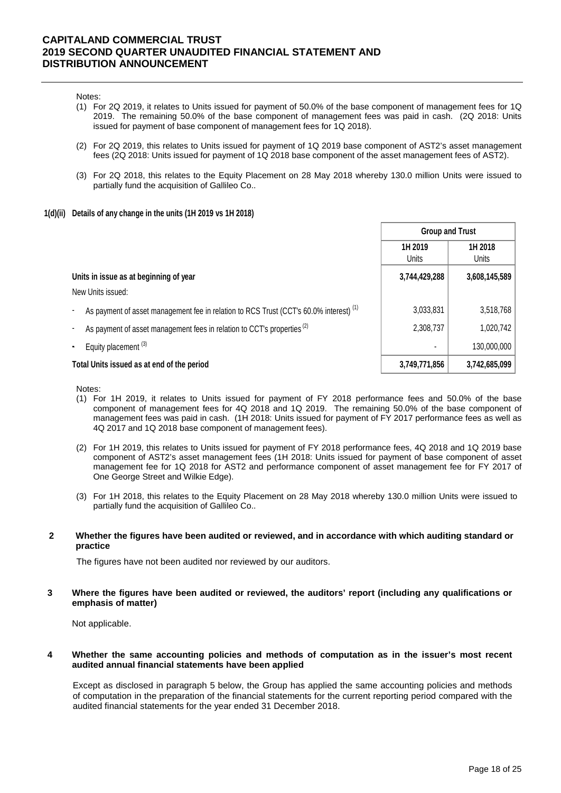#### Notes:

- (1) For 2Q 2019, it relates to Units issued for payment of 50.0% of the base component of management fees for 1Q 2019. The remaining 50.0% of the base component of management fees was paid in cash. (2Q 2018: Units issued for payment of base component of management fees for 1Q 2018).
- (2) For 2Q 2019, this relates to Units issued for payment of 1Q 2019 base component of AST2's asset management fees (2Q 2018: Units issued for payment of 1Q 2018 base component of the asset management fees of AST2).
- (3) For 2Q 2018, this relates to the Equity Placement on 28 May 2018 whereby 130.0 million Units were issued to partially fund the acquisition of Gallileo Co..

#### **1(d)(ii) Details of any change in the units (1H 2019 vs 1H 2018)**

|                                                                                                   | <b>Group and Trust</b>  |                  |  |
|---------------------------------------------------------------------------------------------------|-------------------------|------------------|--|
|                                                                                                   | 1H 2019<br><b>Units</b> | 1H 2018<br>Units |  |
| Units in issue as at beginning of year                                                            | 3,744,429,288           | 3,608,145,589    |  |
| New Units issued:                                                                                 |                         |                  |  |
| As payment of asset management fee in relation to RCS Trust (CCT's 60.0% interest) <sup>(1)</sup> | 3,033,831               | 3,518,768        |  |
| As payment of asset management fees in relation to CCT's properties <sup>(2)</sup>                | 2,308,737               | 1,020,742        |  |
| Equity placement <sup>(3)</sup>                                                                   |                         | 130,000,000      |  |
| Total Units issued as at end of the period                                                        | 3,749,771,856           | 3,742,685,099    |  |

#### Notes:

- (1) For 1H 2019, it relates to Units issued for payment of FY 2018 performance fees and 50.0% of the base component of management fees for 4Q 2018 and 1Q 2019. The remaining 50.0% of the base component of management fees was paid in cash. (1H 2018: Units issued for payment of FY 2017 performance fees as well as 4Q 2017 and 1Q 2018 base component of management fees).
- (2) For 1H 2019, this relates to Units issued for payment of FY 2018 performance fees, 4Q 2018 and 1Q 2019 base component of AST2's asset management fees (1H 2018: Units issued for payment of base component of asset management fee for 1Q 2018 for AST2 and performance component of asset management fee for FY 2017 of One George Street and Wilkie Edge).
- (3) For 1H 2018, this relates to the Equity Placement on 28 May 2018 whereby 130.0 million Units were issued to partially fund the acquisition of Gallileo Co..

#### **2 Whether the figures have been audited or reviewed, and in accordance with which auditing standard or practice**

The figures have not been audited nor reviewed by our auditors.

**3 Where the figures have been audited or reviewed, the auditors' report (including any qualifications or emphasis of matter)**

Not applicable.

#### **4 Whether the same accounting policies and methods of computation as in the issuer's most recent audited annual financial statements have been applied**

Except as disclosed in paragraph 5 below, the Group has applied the same accounting policies and methods of computation in the preparation of the financial statements for the current reporting period compared with the audited financial statements for the year ended 31 December 2018.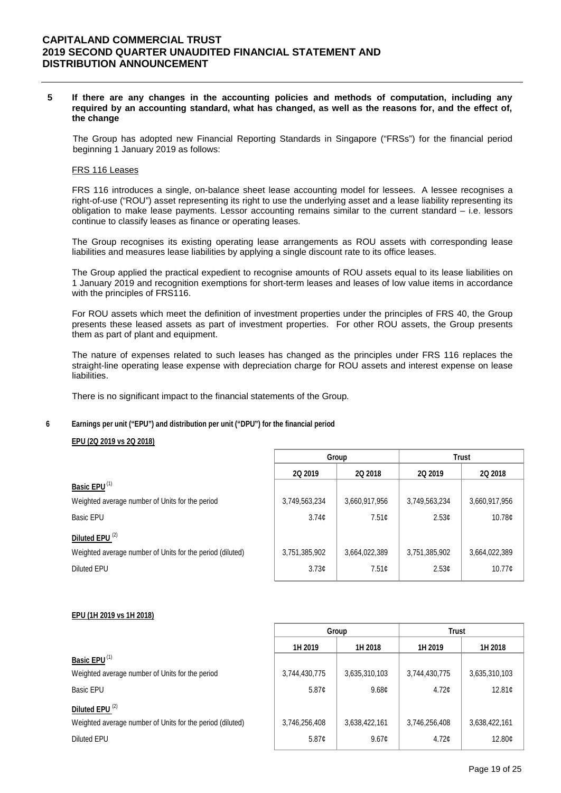#### **5 If there are any changes in the accounting policies and methods of computation, including any required by an accounting standard, what has changed, as well as the reasons for, and the effect of, the change**

The Group has adopted new Financial Reporting Standards in Singapore ("FRSs") for the financial period beginning 1 January 2019 as follows:

#### FRS 116 Leases

FRS 116 introduces a single, on-balance sheet lease accounting model for lessees. A lessee recognises a right-of-use ("ROU") asset representing its right to use the underlying asset and a lease liability representing its obligation to make lease payments. Lessor accounting remains similar to the current standard – i.e. lessors continue to classify leases as finance or operating leases.

The Group recognises its existing operating lease arrangements as ROU assets with corresponding lease liabilities and measures lease liabilities by applying a single discount rate to its office leases.

The Group applied the practical expedient to recognise amounts of ROU assets equal to its lease liabilities on 1 January 2019 and recognition exemptions for short-term leases and leases of low value items in accordance with the principles of FRS116.

For ROU assets which meet the definition of investment properties under the principles of FRS 40, the Group presents these leased assets as part of investment properties. For other ROU assets, the Group presents them as part of plant and equipment.

The nature of expenses related to such leases has changed as the principles under FRS 116 replaces the straight-line operating lease expense with depreciation charge for ROU assets and interest expense on lease liabilities.

There is no significant impact to the financial statements of the Group.

#### **6 Earnings per unit ("EPU") and distribution per unit ("DPU") for the financial period**

### **EPU (2Q 2019 vs 2Q 2018)**

|                                                           |               | Group          | <b>Trust</b>      |               |  |
|-----------------------------------------------------------|---------------|----------------|-------------------|---------------|--|
|                                                           | 2Q 2019       | <b>2Q 2018</b> | <b>2Q 2019</b>    | 2Q 2018       |  |
| Basic EPU <sup>(1)</sup>                                  |               |                |                   |               |  |
| Weighted average number of Units for the period           | 3,749,563,234 | 3,660,917,956  | 3,749,563,234     | 3,660,917,956 |  |
| Basic EPU                                                 | 3.74c         | 7.51c          | 2.53 <sub>c</sub> | 10.78c        |  |
| Diluted EPU <sup>(2)</sup>                                |               |                |                   |               |  |
| Weighted average number of Units for the period (diluted) | 3,751,385,902 | 3,664,022,389  | 3,751,385,902     | 3,664,022,389 |  |
| Diluted EPU                                               | 3.73c         | 7.51c          | 2.53 <sub>c</sub> | 10.77c        |  |

#### **EPU (1H 2019 vs 1H 2018)**

|                                                           |               | Group             | <b>Trust</b>  |               |  |
|-----------------------------------------------------------|---------------|-------------------|---------------|---------------|--|
|                                                           | 1H 2019       | 1H 2018           | 1H 2019       | 1H 2018       |  |
| Basic EPU <sup>(1)</sup>                                  |               |                   |               |               |  |
| Weighted average number of Units for the period           | 3,744,430,775 | 3,635,310,103     | 3,744,430,775 | 3,635,310,103 |  |
| Basic EPU                                                 | 5.87c         | 9.68 <sub>c</sub> | 4.72c         | 12.81c        |  |
| Diluted EPU <sup>(2)</sup>                                |               |                   |               |               |  |
| Weighted average number of Units for the period (diluted) | 3,746,256,408 | 3,638,422,161     | 3,746,256,408 | 3,638,422,161 |  |
| <b>Diluted EPU</b>                                        | 5.87c         | 9.67c             | 4.72c         | 12.80¢        |  |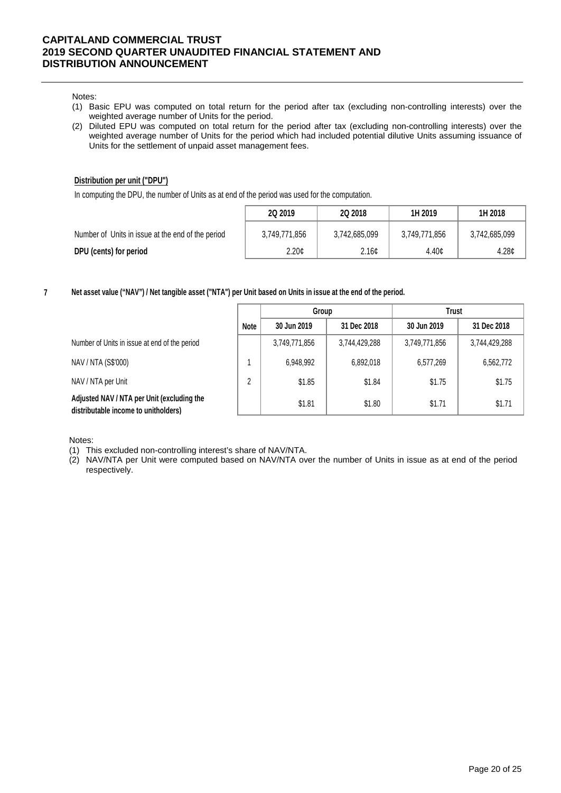Notes:

- (1) Basic EPU was computed on total return for the period after tax (excluding non-controlling interests) over the weighted average number of Units for the period.
- (2) Diluted EPU was computed on total return for the period after tax (excluding non-controlling interests) over the weighted average number of Units for the period which had included potential dilutive Units assuming issuance of Units for the settlement of unpaid asset management fees.

### **Distribution per unit ("DPU")**

In computing the DPU, the number of Units as at end of the period was used for the computation.

|                                                   | 2Q 2019       | 2Q 2018       | 1H 2019       | 1H 2018           |
|---------------------------------------------------|---------------|---------------|---------------|-------------------|
| Number of Units in issue at the end of the period | 3,749,771,856 | 3,742,685,099 | 3.749.771.856 | 3,742,685,099     |
| DPU (cents) for period                            | 2.20c         | 2.16¢         | 4.40c         | 4.28 <sub>¢</sub> |

**7 Net asset value ("NAV") / Net tangible asset ("NTA") per Unit based on Units in issue at the end of the period.**

|                                                                                    |             | Group         |               | <b>Trust</b>  |               |  |
|------------------------------------------------------------------------------------|-------------|---------------|---------------|---------------|---------------|--|
|                                                                                    | <b>Note</b> | 30 Jun 2019   | 31 Dec 2018   | 30 Jun 2019   | 31 Dec 2018   |  |
| Number of Units in issue at end of the period                                      |             | 3,749,771,856 | 3,744,429,288 | 3,749,771,856 | 3,744,429,288 |  |
| NAV / NTA (S\$'000)                                                                |             | 6,948,992     | 6,892,018     | 6,577,269     | 6,562,772     |  |
| NAV / NTA per Unit                                                                 | 2           | \$1.85        | \$1.84        | \$1.75        | \$1.75        |  |
| Adjusted NAV / NTA per Unit (excluding the<br>distributable income to unitholders) |             | \$1.81        | \$1.80        | \$1.71        | \$1.71        |  |

Notes:

- (1) This excluded non-controlling interest's share of NAV/NTA.
- (2) NAV/NTA per Unit were computed based on NAV/NTA over the number of Units in issue as at end of the period respectively.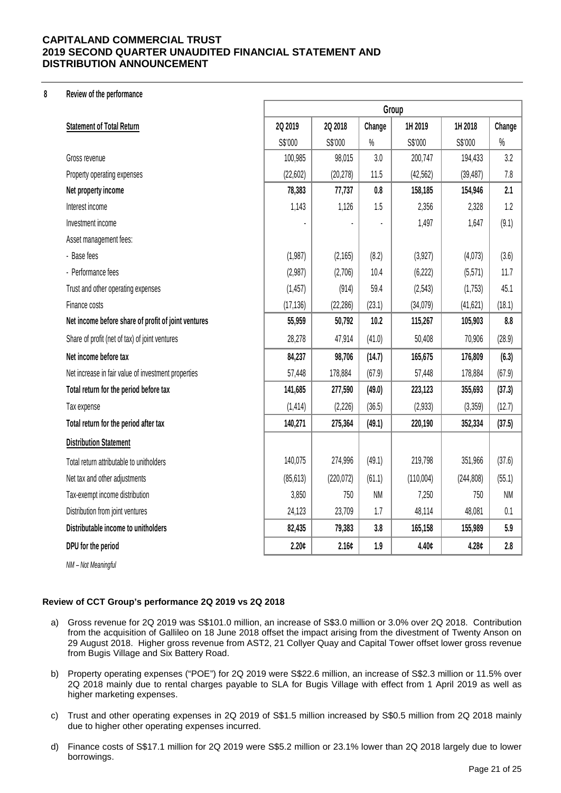### **8 Review of the performance**

|                                                     | Group     |                   |           |           |            |           |
|-----------------------------------------------------|-----------|-------------------|-----------|-----------|------------|-----------|
| <b>Statement of Total Return</b>                    | 2Q 2019   | 2Q 2018           | Change    | 1H 2019   | 1H 2018    | Change    |
|                                                     | S\$'000   | S\$'000           | $\%$      | S\$'000   | S\$'000    | $\%$      |
| Gross revenue                                       | 100,985   | 98,015            | 3.0       | 200,747   | 194,433    | 3.2       |
| Property operating expenses                         | (22,602)  | (20, 278)         | 11.5      | (42, 562) | (39, 487)  | 7.8       |
| Net property income                                 | 78,383    | 77,737            | 0.8       | 158,185   | 154,946    | 2.1       |
| Interest income                                     | 1,143     | 1,126             | 1.5       | 2,356     | 2,328      | 1.2       |
| Investment income                                   |           |                   |           | 1,497     | 1,647      | (9.1)     |
| Asset management fees:                              |           |                   |           |           |            |           |
| - Base fees                                         | (1,987)   | (2, 165)          | (8.2)     | (3,927)   | (4,073)    | (3.6)     |
| - Performance fees                                  | (2,987)   | (2,706)           | 10.4      | (6, 222)  | (5,571)    | 11.7      |
| Trust and other operating expenses                  | (1, 457)  | (914)             | 59.4      | (2, 543)  | (1,753)    | 45.1      |
| Finance costs                                       | (17, 136) | (22, 286)         | (23.1)    | (34,079)  | (41, 621)  | (18.1)    |
| Net income before share of profit of joint ventures | 55,959    | 50,792            | 10.2      | 115,267   | 105,903    | 8.8       |
| Share of profit (net of tax) of joint ventures      | 28,278    | 47,914            | (41.0)    | 50,408    | 70,906     | (28.9)    |
| Net income before tax                               | 84,237    | 98,706            | (14.7)    | 165,675   | 176,809    | (6.3)     |
| Net increase in fair value of investment properties | 57,448    | 178,884           | (67.9)    | 57,448    | 178,884    | (67.9)    |
| Total return for the period before tax              | 141,685   | 277,590           | (49.0)    | 223,123   | 355,693    | (37.3)    |
| Tax expense                                         | (1, 414)  | (2, 226)          | (36.5)    | (2,933)   | (3, 359)   | (12.7)    |
| Total return for the period after tax               | 140,271   | 275,364           | (49.1)    | 220,190   | 352,334    | (37.5)    |
| <b>Distribution Statement</b>                       |           |                   |           |           |            |           |
| Total return attributable to unitholders            | 140,075   | 274,996           | (49.1)    | 219,798   | 351,966    | (37.6)    |
| Net tax and other adjustments                       | (85, 613) | (220, 072)        | (61.1)    | (110,004) | (244, 808) | (55.1)    |
| Tax-exempt income distribution                      | 3,850     | 750               | <b>NM</b> | 7,250     | 750        | <b>NM</b> |
| Distribution from joint ventures                    | 24,123    | 23,709            | 1.7       | 48,114    | 48,081     | 0.1       |
| Distributable income to unitholders                 | 82,435    | 79,383            | 3.8       | 165,158   | 155,989    | 5.9       |
| DPU for the period                                  | 2.20c     | 2.16 <sub>c</sub> | 1.9       | 4.40¢     | 4.28c      | 2.8       |

*NM – Not Meaningful*

### **Review of CCT Group's performance 2Q 2019 vs 2Q 2018**

- a) Gross revenue for 2Q 2019 was S\$101.0 million, an increase of S\$3.0 million or 3.0% over 2Q 2018. Contribution from the acquisition of Gallileo on 18 June 2018 offset the impact arising from the divestment of Twenty Anson on 29 August 2018. Higher gross revenue from AST2, 21 Collyer Quay and Capital Tower offset lower gross revenue from Bugis Village and Six Battery Road.
- b) Property operating expenses ("POE") for 2Q 2019 were S\$22.6 million, an increase of S\$2.3 million or 11.5% over 2Q 2018 mainly due to rental charges payable to SLA for Bugis Village with effect from 1 April 2019 as well as higher marketing expenses.
- c) Trust and other operating expenses in 2Q 2019 of S\$1.5 million increased by S\$0.5 million from 2Q 2018 mainly due to higher other operating expenses incurred.
- d) Finance costs of S\$17.1 million for 2Q 2019 were S\$5.2 million or 23.1% lower than 2Q 2018 largely due to lower borrowings.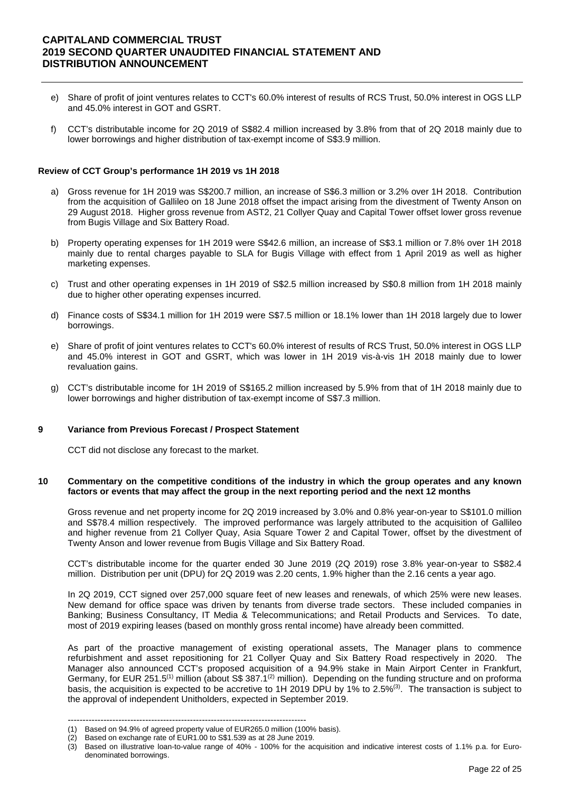- e) Share of profit of joint ventures relates to CCT's 60.0% interest of results of RCS Trust, 50.0% interest in OGS LLP and 45.0% interest in GOT and GSRT.
- f) CCT's distributable income for 2Q 2019 of S\$82.4 million increased by 3.8% from that of 2Q 2018 mainly due to lower borrowings and higher distribution of tax-exempt income of S\$3.9 million.

### **Review of CCT Group's performance 1H 2019 vs 1H 2018**

- a) Gross revenue for 1H 2019 was S\$200.7 million, an increase of S\$6.3 million or 3.2% over 1H 2018. Contribution from the acquisition of Gallileo on 18 June 2018 offset the impact arising from the divestment of Twenty Anson on 29 August 2018. Higher gross revenue from AST2, 21 Collyer Quay and Capital Tower offset lower gross revenue from Bugis Village and Six Battery Road.
- b) Property operating expenses for 1H 2019 were S\$42.6 million, an increase of S\$3.1 million or 7.8% over 1H 2018 mainly due to rental charges payable to SLA for Bugis Village with effect from 1 April 2019 as well as higher marketing expenses.
- c) Trust and other operating expenses in 1H 2019 of S\$2.5 million increased by S\$0.8 million from 1H 2018 mainly due to higher other operating expenses incurred.
- d) Finance costs of S\$34.1 million for 1H 2019 were S\$7.5 million or 18.1% lower than 1H 2018 largely due to lower borrowings.
- e) Share of profit of joint ventures relates to CCT's 60.0% interest of results of RCS Trust, 50.0% interest in OGS LLP and 45.0% interest in GOT and GSRT, which was lower in 1H 2019 vis-à-vis 1H 2018 mainly due to lower revaluation gains.
- g) CCT's distributable income for 1H 2019 of S\$165.2 million increased by 5.9% from that of 1H 2018 mainly due to lower borrowings and higher distribution of tax-exempt income of S\$7.3 million.

#### **9 Variance from Previous Forecast / Prospect Statement**

CCT did not disclose any forecast to the market.

#### **10 Commentary on the competitive conditions of the industry in which the group operates and any known factors or events that may affect the group in the next reporting period and the next 12 months**

Gross revenue and net property income for 2Q 2019 increased by 3.0% and 0.8% year-on-year to S\$101.0 million and S\$78.4 million respectively. The improved performance was largely attributed to the acquisition of Gallileo and higher revenue from 21 Collyer Quay, Asia Square Tower 2 and Capital Tower, offset by the divestment of Twenty Anson and lower revenue from Bugis Village and Six Battery Road.

CCT's distributable income for the quarter ended 30 June 2019 (2Q 2019) rose 3.8% year-on-year to S\$82.4 million. Distribution per unit (DPU) for 2Q 2019 was 2.20 cents, 1.9% higher than the 2.16 cents a year ago.

In 2Q 2019, CCT signed over 257,000 square feet of new leases and renewals, of which 25% were new leases. New demand for office space was driven by tenants from diverse trade sectors. These included companies in Banking; Business Consultancy, IT Media & Telecommunications; and Retail Products and Services. To date, most of 2019 expiring leases (based on monthly gross rental income) have already been committed.

As part of the proactive management of existing operational assets, The Manager plans to commence refurbishment and asset repositioning for 21 Collyer Quay and Six Battery Road respectively in 2020. The Manager also announced CCT's proposed acquisition of a 94.9% stake in Main Airport Center in Frankfurt, Germany, for EUR 251.5<sup>(1)</sup> million (about S\$ 387.1<sup>(2)</sup> million). Depending on the funding structure and on proforma basis, the acquisition is expected to be accretive to 1H 2019 DPU by 1% to 2.5%(3). The transaction is subject to the approval of independent Unitholders, expected in September 2019.

<sup>--------------------------------------------------------------------------------</sup> 

<sup>(1)</sup> Based on 94.9% of agreed property value of EUR265.0 million (100% basis).

 $(2)$  Based on exchange rate of  $EUR1.00$  to S\$1.539 as at 28 June 2019.

<sup>(3)</sup> Based on illustrative loan-to-value range of 40% - 100% for the acquisition and indicative interest costs of 1.1% p.a. for Eurodenominated borrowings.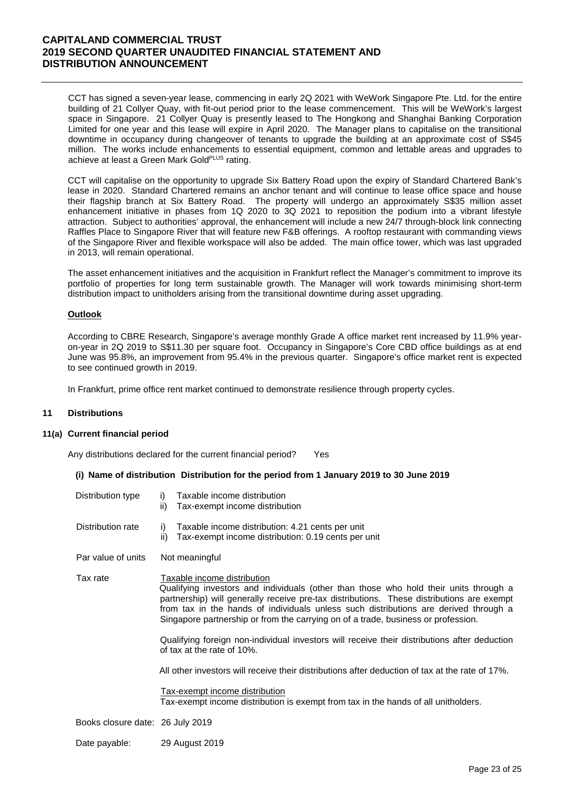CCT has signed a seven-year lease, commencing in early 2Q 2021 with WeWork Singapore Pte. Ltd. for the entire building of 21 Collyer Quay, with fit-out period prior to the lease commencement. This will be WeWork's largest space in Singapore. 21 Collyer Quay is presently leased to The Hongkong and Shanghai Banking Corporation Limited for one year and this lease will expire in April 2020. The Manager plans to capitalise on the transitional downtime in occupancy during changeover of tenants to upgrade the building at an approximate cost of S\$45 million. The works include enhancements to essential equipment, common and lettable areas and upgrades to achieve at least a Green Mark GoldPLUS rating.

CCT will capitalise on the opportunity to upgrade Six Battery Road upon the expiry of Standard Chartered Bank's lease in 2020. Standard Chartered remains an anchor tenant and will continue to lease office space and house their flagship branch at Six Battery Road. The property will undergo an approximately S\$35 million asset enhancement initiative in phases from 1Q 2020 to 3Q 2021 to reposition the podium into a vibrant lifestyle attraction. Subject to authorities' approval, the enhancement will include a new 24/7 through-block link connecting Raffles Place to Singapore River that will feature new F&B offerings. A rooftop restaurant with commanding views of the Singapore River and flexible workspace will also be added. The main office tower, which was last upgraded in 2013, will remain operational.

The asset enhancement initiatives and the acquisition in Frankfurt reflect the Manager's commitment to improve its portfolio of properties for long term sustainable growth. The Manager will work towards minimising short-term distribution impact to unitholders arising from the transitional downtime during asset upgrading.

### **Outlook**

According to CBRE Research, Singapore's average monthly Grade A office market rent increased by 11.9% yearon-year in 2Q 2019 to S\$11.30 per square foot. Occupancy in Singapore's Core CBD office buildings as at end June was 95.8%, an improvement from 95.4% in the previous quarter. Singapore's office market rent is expected to see continued growth in 2019.

In Frankfurt, prime office rent market continued to demonstrate resilience through property cycles.

#### **11 Distributions**

#### **11(a) Current financial period**

Any distributions declared for the current financial period? Yes

#### **(i) Name of distribution Distribution for the period from 1 January 2019 to 30 June 2019**

| Distribution type                | Taxable income distribution<br>i)<br>Tax-exempt income distribution<br>ii)                                                                                                                                                                                                                                                                                                                                                                                                                                                                                                                                                                                                                                                                              |
|----------------------------------|---------------------------------------------------------------------------------------------------------------------------------------------------------------------------------------------------------------------------------------------------------------------------------------------------------------------------------------------------------------------------------------------------------------------------------------------------------------------------------------------------------------------------------------------------------------------------------------------------------------------------------------------------------------------------------------------------------------------------------------------------------|
| Distribution rate                | Taxable income distribution: 4.21 cents per unit<br>i)<br>Tax-exempt income distribution: 0.19 cents per unit<br>ii)                                                                                                                                                                                                                                                                                                                                                                                                                                                                                                                                                                                                                                    |
| Par value of units               | Not meaningful                                                                                                                                                                                                                                                                                                                                                                                                                                                                                                                                                                                                                                                                                                                                          |
| Tax rate                         | Taxable income distribution<br>Qualifying investors and individuals (other than those who hold their units through a<br>partnership) will generally receive pre-tax distributions. These distributions are exempt<br>from tax in the hands of individuals unless such distributions are derived through a<br>Singapore partnership or from the carrying on of a trade, business or profession.<br>Qualifying foreign non-individual investors will receive their distributions after deduction<br>of tax at the rate of 10%.<br>All other investors will receive their distributions after deduction of tax at the rate of 17%.<br>Tax-exempt income distribution<br>Tax-exempt income distribution is exempt from tax in the hands of all unitholders. |
| Books closure date: 26 July 2019 |                                                                                                                                                                                                                                                                                                                                                                                                                                                                                                                                                                                                                                                                                                                                                         |
| Date payable:                    | 29 August 2019                                                                                                                                                                                                                                                                                                                                                                                                                                                                                                                                                                                                                                                                                                                                          |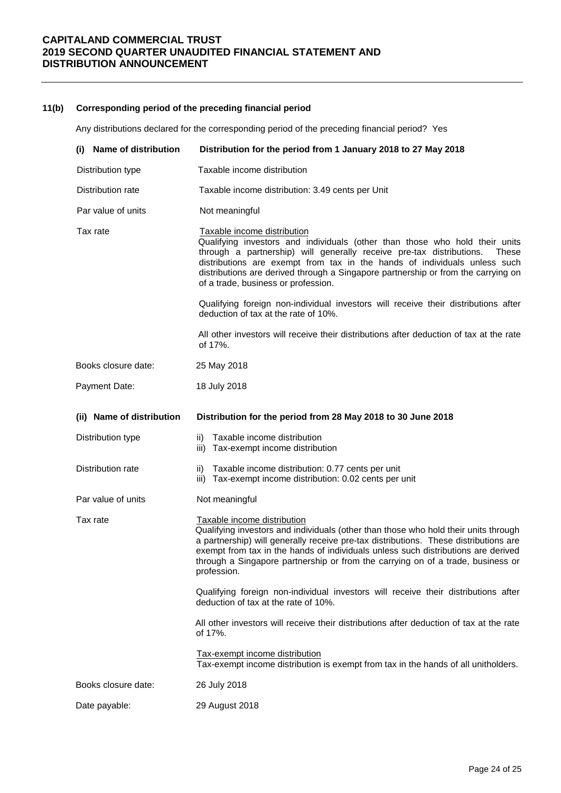### **11(b) Corresponding period of the preceding financial period**

Any distributions declared for the corresponding period of the preceding financial period? Yes

| (i) Name of distribution  | Distribution for the period from 1 January 2018 to 27 May 2018                                                                                                                                                                                                                                                                                                                                       |
|---------------------------|------------------------------------------------------------------------------------------------------------------------------------------------------------------------------------------------------------------------------------------------------------------------------------------------------------------------------------------------------------------------------------------------------|
| Distribution type         | Taxable income distribution                                                                                                                                                                                                                                                                                                                                                                          |
| Distribution rate         | Taxable income distribution: 3.49 cents per Unit                                                                                                                                                                                                                                                                                                                                                     |
| Par value of units        | Not meaningful                                                                                                                                                                                                                                                                                                                                                                                       |
| Tax rate                  | Taxable income distribution<br>Qualifying investors and individuals (other than those who hold their units<br>through a partnership) will generally receive pre-tax distributions.<br>These<br>distributions are exempt from tax in the hands of individuals unless such<br>distributions are derived through a Singapore partnership or from the carrying on<br>of a trade, business or profession. |
|                           | Qualifying foreign non-individual investors will receive their distributions after<br>deduction of tax at the rate of 10%.                                                                                                                                                                                                                                                                           |
|                           | All other investors will receive their distributions after deduction of tax at the rate<br>of 17%.                                                                                                                                                                                                                                                                                                   |
| Books closure date:       | 25 May 2018                                                                                                                                                                                                                                                                                                                                                                                          |
| Payment Date:             | 18 July 2018                                                                                                                                                                                                                                                                                                                                                                                         |
| (ii) Name of distribution | Distribution for the period from 28 May 2018 to 30 June 2018                                                                                                                                                                                                                                                                                                                                         |
| Distribution type         | Taxable income distribution<br>ii)<br>iii) Tax-exempt income distribution                                                                                                                                                                                                                                                                                                                            |
| Distribution rate         | Taxable income distribution: 0.77 cents per unit<br>ii)<br>iii) Tax-exempt income distribution: 0.02 cents per unit                                                                                                                                                                                                                                                                                  |
| Par value of units        | Not meaningful                                                                                                                                                                                                                                                                                                                                                                                       |
| Tax rate                  | Taxable income distribution<br>Qualifying investors and individuals (other than those who hold their units through<br>a partnership) will generally receive pre-tax distributions. These distributions are<br>exempt from tax in the hands of individuals unless such distributions are derived<br>through a Singapore partnership or from the carrying on of a trade, business or<br>profession.    |
|                           | Qualifying foreign non-individual investors will receive their distributions after<br>deduction of tax at the rate of 10%.                                                                                                                                                                                                                                                                           |
|                           | All other investors will receive their distributions after deduction of tax at the rate<br>of 17%.                                                                                                                                                                                                                                                                                                   |
|                           | Tax-exempt income distribution<br>Tax-exempt income distribution is exempt from tax in the hands of all unitholders.                                                                                                                                                                                                                                                                                 |
| Books closure date:       | 26 July 2018                                                                                                                                                                                                                                                                                                                                                                                         |
| Date payable:             | 29 August 2018                                                                                                                                                                                                                                                                                                                                                                                       |